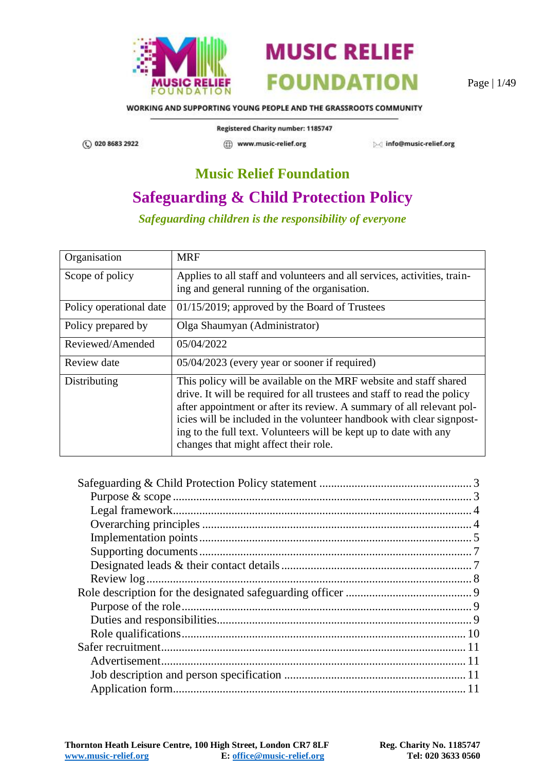



Page | 1/49

WORKING AND SUPPORTING YOUNG PEOPLE AND THE GRASSROOTS COMMUNITY

(C) 020 8683 2922

Registered Charity number: 1185747 (1) www.music-relief.org

Minfo@music-relief.org

# **Music Relief Foundation**

# **Safeguarding & Child Protection Policy**

*Safeguarding children is the responsibility of everyone*

| Organisation            | <b>MRF</b>                                                                                                                                                                                                                                                                                                                                                                                                    |
|-------------------------|---------------------------------------------------------------------------------------------------------------------------------------------------------------------------------------------------------------------------------------------------------------------------------------------------------------------------------------------------------------------------------------------------------------|
| Scope of policy         | Applies to all staff and volunteers and all services, activities, train-<br>ing and general running of the organisation.                                                                                                                                                                                                                                                                                      |
| Policy operational date | 01/15/2019; approved by the Board of Trustees                                                                                                                                                                                                                                                                                                                                                                 |
| Policy prepared by      | Olga Shaumyan (Administrator)                                                                                                                                                                                                                                                                                                                                                                                 |
| Reviewed/Amended        | 05/04/2022                                                                                                                                                                                                                                                                                                                                                                                                    |
| Review date             | 05/04/2023 (every year or sooner if required)                                                                                                                                                                                                                                                                                                                                                                 |
| Distributing            | This policy will be available on the MRF website and staff shared<br>drive. It will be required for all trustees and staff to read the policy<br>after appointment or after its review. A summary of all relevant pol-<br>icies will be included in the volunteer handbook with clear signpost-<br>ing to the full text. Volunteers will be kept up to date with any<br>changes that might affect their role. |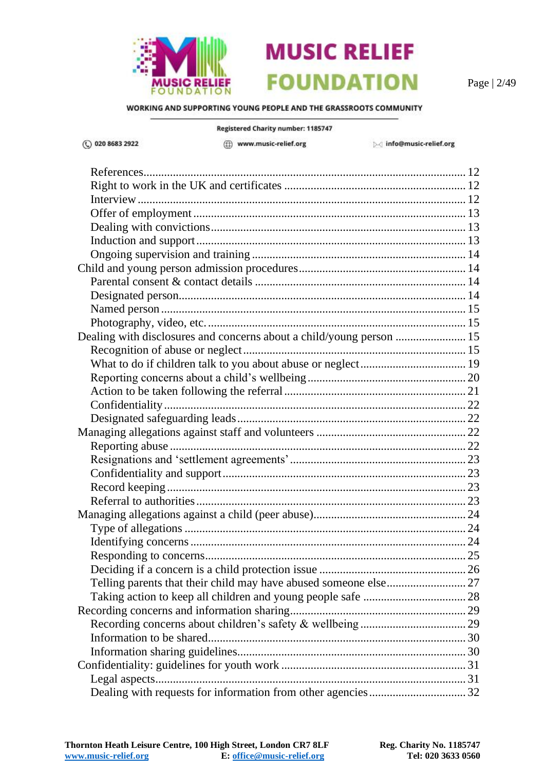

Page | 2/49

WORKING AND SUPPORTING YOUNG PEOPLE AND THE GRASSROOTS COMMUNITY

Registered Charity number: 1185747 ◯ 020 8683 2922 (fi) www.music-relief.org info@music-relief.org [References..............................................................................................................](#page-11-0) 12 [Right to work in the UK and certificates](#page-11-1) .............................................................. 12 [Interview................................................................................................................](#page-11-2) 12 Offer of employment [.............................................................................................](#page-12-0) 13 [Dealing with convictions.......................................................................................](#page-12-1) 13 [Induction and support............................................................................................](#page-12-2) 13 Ongoing supervision and training [.........................................................................](#page-13-0) 14 [Child and young person admission procedures.........................................................](#page-13-1) 14 Parental consent & contact details [........................................................................](#page-13-2) 14 [Designated person..................................................................................................](#page-13-3) 14 Named person [........................................................................................................](#page-14-0) 15 [Photography, video, etc.........................................................................................](#page-14-1) 15 [Dealing with disclosures and concerns about a child/young person](#page-14-2) ........................ 15 [Recognition of abuse or neglect............................................................................](#page-14-3) 15 [What to do if children talk to you about abuse or neglect....................................](#page-18-0) 19 [Reporting concerns about a child's wellbeing......................................................](#page-19-0) 20 [Action to be taken following the referral..............................................................](#page-20-0) 21 [Confidentiality.......................................................................................................](#page-21-0) 22 [Designated safeguarding leads..............................................................................](#page-21-1) 22 [Managing allegations against staff and volunteers](#page-21-2) ................................................... 22 Reporting abuse [.....................................................................................................](#page-21-3) 22 [Resignations and 'settlement agreements'............................................................](#page-22-0) 23 [Confidentiality and support...................................................................................](#page-22-1) 23 [Record keeping......................................................................................................](#page-22-2) 23 [Referral to authorities............................................................................................](#page-22-3) 23 [Managing allegations against a child \(peer abuse\)....................................................](#page-23-0) 24 [Type of allegations................................................................................................](#page-23-1) 24 [Identifying concerns..............................................................................................](#page-23-2) 24 [Responding to concerns.........................................................................................](#page-24-0) 25 [Deciding if a concern is a child protection issue](#page-25-0) .................................................. 26 [Telling parents that their child may have abused someone else...........................](#page-26-0) 27 [Taking action to keep all children and young people safe](#page-27-0) ................................... 28 [Recording concerns and information sharing............................................................](#page-28-0) 29 Recording concerns about [children's safety & wellbeing](#page-28-1) .................................... 29 [Information to be shared........................................................................................](#page-29-0) 30 [Information sharing guidelines..............................................................................](#page-29-1) 30 [Confidentiality: guidelines for youth work](#page-30-0) ............................................................... 31 [Legal aspects..........................................................................................................](#page-30-1) 31

[Dealing with requests for information from other agencies.................................](#page-31-0) 32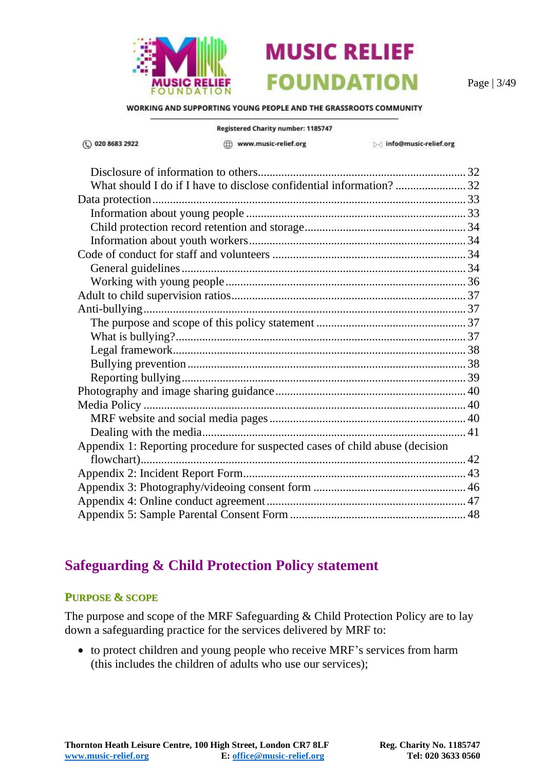

(C) 020 8683 2922

**MUSIC RELIEF FOUNDATION** 

Page | 3/49

WORKING AND SUPPORTING YOUNG PEOPLE AND THE GRASSROOTS COMMUNITY

Registered Charity number: 1185747

(ff) www.music-relief.org

Minfo@music-relief.org

| Appendix 1: Reporting procedure for suspected cases of child abuse (decision |  |
|------------------------------------------------------------------------------|--|
|                                                                              |  |
|                                                                              |  |
|                                                                              |  |
|                                                                              |  |
|                                                                              |  |

### <span id="page-2-0"></span>**Safeguarding & Child Protection Policy statement**

#### <span id="page-2-1"></span>**PURPOSE & SCOPE**

The purpose and scope of the MRF Safeguarding & Child Protection Policy are to lay down a safeguarding practice for the services delivered by MRF to:

• to protect children and young people who receive MRF's services from harm (this includes the children of adults who use our services);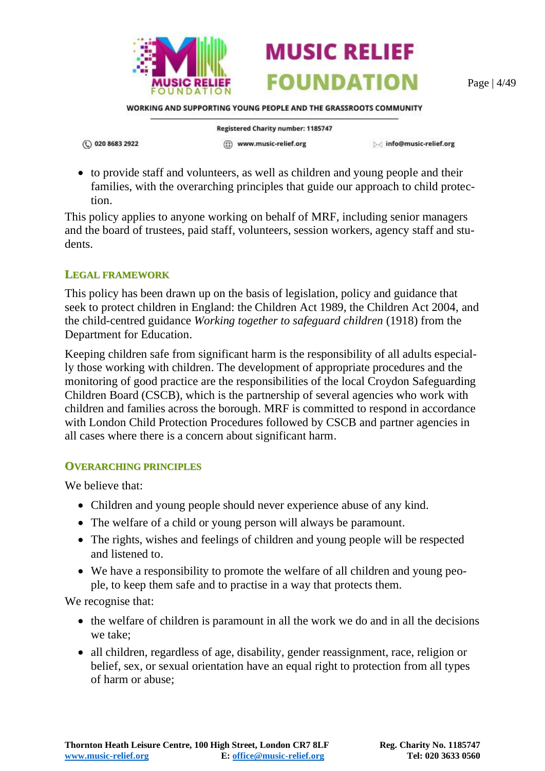

Page | 4/49

WORKING AND SUPPORTING YOUNG PEOPLE AND THE GRASSROOTS COMMUNITY

**MUSIC RELIEF** 

**FOUNDATION** 

(C) 020 8683 2922

Registered Charity number: 1185747

(ff) www.music-relief.org

▷ info@music-relief.org

• to provide staff and volunteers, as well as children and young people and their families, with the overarching principles that guide our approach to child protection.

This policy applies to anyone working on behalf of MRF, including senior managers and the board of trustees, paid staff, volunteers, session workers, agency staff and students.

#### <span id="page-3-0"></span>**LEGAL FRAMEWORK**

This policy has been drawn up on the basis of legislation, policy and guidance that seek to protect children in England: the Children Act 1989, the Children Act 2004, and the child-centred guidance *Working together to safeguard children* (1918) from the Department for Education.

Keeping children safe from significant harm is the responsibility of all adults especially those working with children. The development of appropriate procedures and the monitoring of good practice are the responsibilities of the local Croydon Safeguarding Children Board (CSCB), which is the partnership of several agencies who work with children and families across the borough. MRF is committed to respond in accordance with London Child Protection Procedures followed by CSCB and partner agencies in all cases where there is a concern about significant harm.

#### <span id="page-3-1"></span>**OVERARCHING PRINCIPLES**

We believe that:

- Children and young people should never experience abuse of any kind.
- The welfare of a child or young person will always be paramount.
- The rights, wishes and feelings of children and young people will be respected and listened to.
- We have a responsibility to promote the welfare of all children and young people, to keep them safe and to practise in a way that protects them.

We recognise that:

- the welfare of children is paramount in all the work we do and in all the decisions we take;
- all children, regardless of age, disability, gender reassignment, race, religion or belief, sex, or sexual orientation have an equal right to protection from all types of harm or abuse;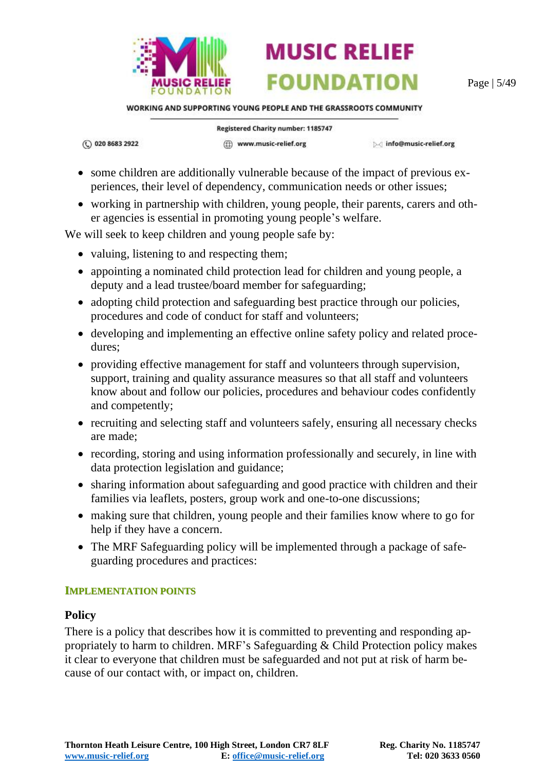

Page | 5/49

WORKING AND SUPPORTING YOUNG PEOPLE AND THE GRASSROOTS COMMUNITY

**MUSIC RELIEF** 

**FOUNDATION** 

(C) 020 8683 2922

Registered Charity number: 1185747

(ff) www.music-relief.org

▷ info@music-relief.org

- some children are additionally vulnerable because of the impact of previous experiences, their level of dependency, communication needs or other issues;
- working in partnership with children, young people, their parents, carers and other agencies is essential in promoting young people's welfare.

We will seek to keep children and young people safe by:

- valuing, listening to and respecting them;
- appointing a nominated child protection lead for children and young people, a deputy and a lead trustee/board member for safeguarding;
- adopting child protection and safeguarding best practice through our policies, procedures and code of conduct for staff and volunteers;
- developing and implementing an effective online safety policy and related procedures;
- providing effective management for staff and volunteers through supervision, support, training and quality assurance measures so that all staff and volunteers know about and follow our policies, procedures and behaviour codes confidently and competently;
- recruiting and selecting staff and volunteers safely, ensuring all necessary checks are made;
- recording, storing and using information professionally and securely, in line with data protection legislation and guidance;
- sharing information about safeguarding and good practice with children and their families via leaflets, posters, group work and one-to-one discussions;
- making sure that children, young people and their families know where to go for help if they have a concern.
- The MRF Safeguarding policy will be implemented through a package of safeguarding procedures and practices:

#### <span id="page-4-0"></span>**IMPLEMENTATION POINTS**

#### **Policy**

There is a policy that describes how it is committed to preventing and responding appropriately to harm to children. MRF's Safeguarding & Child Protection policy makes it clear to everyone that children must be safeguarded and not put at risk of harm because of our contact with, or impact on, children.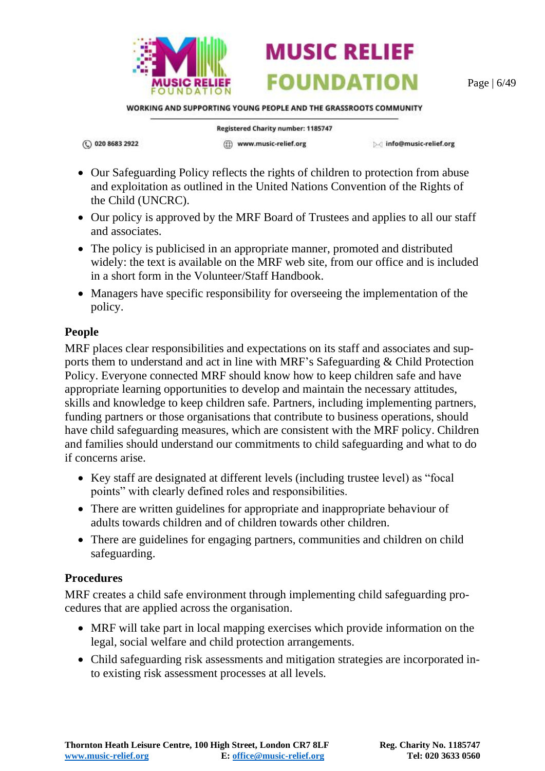

Page | 6/49

WORKING AND SUPPORTING YOUNG PEOPLE AND THE GRASSROOTS COMMUNITY

**MUSIC RELIEF** 

**FOUNDATION** 

(C) 020 8683 2922

Registered Charity number: 1185747 (ff) www.music-relief.org

▷ info@music-relief.org

- Our Safeguarding Policy reflects the rights of children to protection from abuse and exploitation as outlined in the United Nations Convention of the Rights of the Child (UNCRC).
- Our policy is approved by the MRF Board of Trustees and applies to all our staff and associates.
- The policy is publicised in an appropriate manner, promoted and distributed widely: the text is available on the MRF web site, from our office and is included in a short form in the Volunteer/Staff Handbook.
- Managers have specific responsibility for overseeing the implementation of the policy.

#### **People**

MRF places clear responsibilities and expectations on its staff and associates and supports them to understand and act in line with MRF's Safeguarding & Child Protection Policy. Everyone connected MRF should know how to keep children safe and have appropriate learning opportunities to develop and maintain the necessary attitudes, skills and knowledge to keep children safe. Partners, including implementing partners, funding partners or those organisations that contribute to business operations, should have child safeguarding measures, which are consistent with the MRF policy. Children and families should understand our commitments to child safeguarding and what to do if concerns arise.

- Key staff are designated at different levels (including trustee level) as "focal points" with clearly defined roles and responsibilities.
- There are written guidelines for appropriate and inappropriate behaviour of adults towards children and of children towards other children.
- There are guidelines for engaging partners, communities and children on child safeguarding.

#### **Procedures**

MRF creates a child safe environment through implementing child safeguarding procedures that are applied across the organisation.

- MRF will take part in local mapping exercises which provide information on the legal, social welfare and child protection arrangements.
- Child safeguarding risk assessments and mitigation strategies are incorporated into existing risk assessment processes at all levels.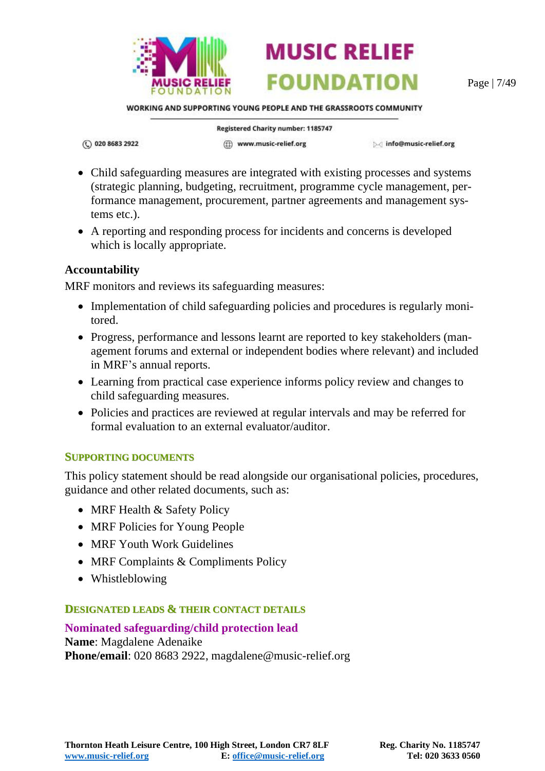

Page | 7/49

WORKING AND SUPPORTING YOUNG PEOPLE AND THE GRASSROOTS COMMUNITY

**MUSIC RELIEF** 

**FOUNDATION** 

(C) 020 8683 2922

Registered Charity number: 1185747

(ff) www.music-relief.org

Minfo@music-relief.org

- Child safeguarding measures are integrated with existing processes and systems (strategic planning, budgeting, recruitment, programme cycle management, performance management, procurement, partner agreements and management systems etc.).
- A reporting and responding process for incidents and concerns is developed which is locally appropriate.

#### **Accountability**

MRF monitors and reviews its safeguarding measures:

- Implementation of child safeguarding policies and procedures is regularly monitored.
- Progress, performance and lessons learnt are reported to key stakeholders (management forums and external or independent bodies where relevant) and included in MRF's annual reports.
- Learning from practical case experience informs policy review and changes to child safeguarding measures.
- Policies and practices are reviewed at regular intervals and may be referred for formal evaluation to an external evaluator/auditor.

#### <span id="page-6-0"></span>**SUPPORTING DOCUMENTS**

This policy statement should be read alongside our organisational policies, procedures, guidance and other related documents, such as:

- MRF Health & Safety Policy
- MRF Policies for Young People
- MRF Youth Work Guidelines
- MRF Complaints & Compliments Policy
- Whistleblowing

#### <span id="page-6-1"></span>**DESIGNATED LEADS & THEIR CONTACT DETAILS**

**Nominated safeguarding/child protection lead Name**: Magdalene Adenaike **Phone/email**: 020 8683 2922, magdalene@music-relief.org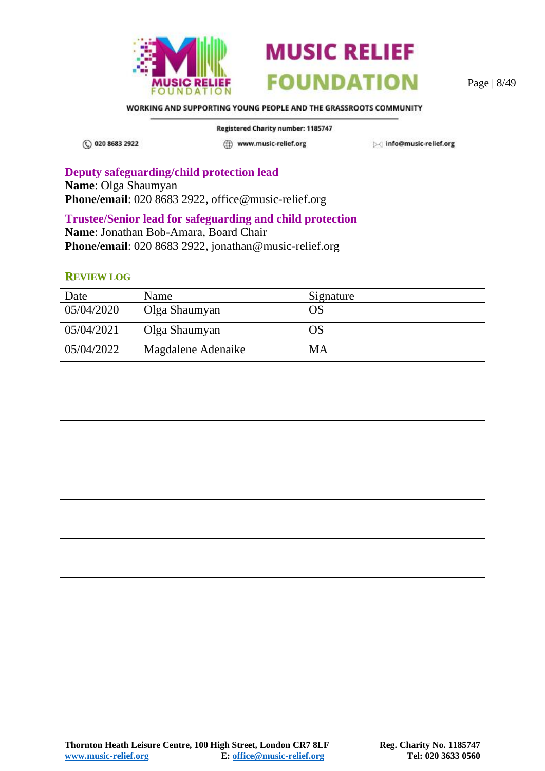



Page | 8/49

WORKING AND SUPPORTING YOUNG PEOPLE AND THE GRASSROOTS COMMUNITY

(C) 020 8683 2922

Registered Charity number: 1185747

(ff) www.music-relief.org

Minfo@music-relief.org

**Deputy safeguarding/child protection lead Name**: Olga Shaumyan **Phone/email**: 020 8683 2922, office@music-relief.org

#### **Trustee/Senior lead for safeguarding and child protection**

**Name**: Jonathan Bob-Amara, Board Chair Phone/email: 020 8683 2922, jonathan@music-relief.org

#### <span id="page-7-0"></span>**REVIEW LOG**

| Date       | Name               | Signature |
|------------|--------------------|-----------|
| 05/04/2020 | Olga Shaumyan      | <b>OS</b> |
| 05/04/2021 | Olga Shaumyan      | <b>OS</b> |
| 05/04/2022 | Magdalene Adenaike | <b>MA</b> |
|            |                    |           |
|            |                    |           |
|            |                    |           |
|            |                    |           |
|            |                    |           |
|            |                    |           |
|            |                    |           |
|            |                    |           |
|            |                    |           |
|            |                    |           |
|            |                    |           |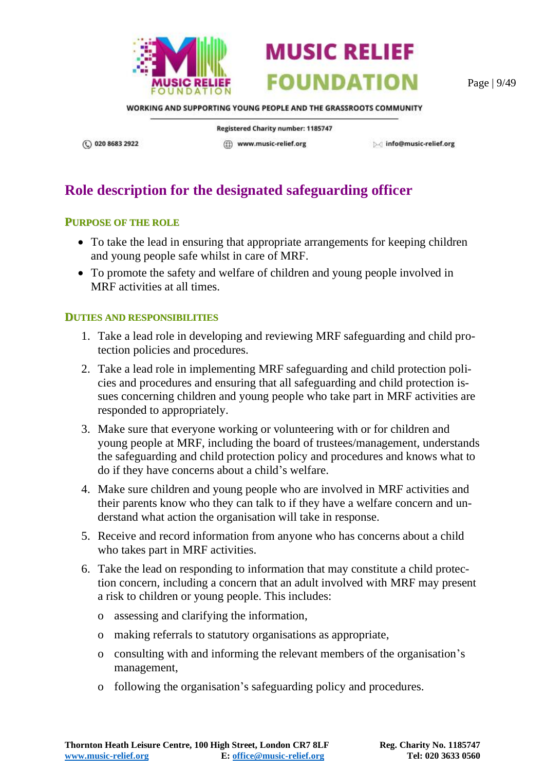

Page | 9/49

WORKING AND SUPPORTING YOUNG PEOPLE AND THE GRASSROOTS COMMUNITY

(C) 020 8683 2922

Registered Charity number: 1185747

(iii) www.music-relief.org

▷ info@music-relief.org

# <span id="page-8-0"></span>**Role description for the designated safeguarding officer**

#### <span id="page-8-1"></span>**PURPOSE OF THE ROLE**

- To take the lead in ensuring that appropriate arrangements for keeping children and young people safe whilst in care of MRF.
- To promote the safety and welfare of children and young people involved in MRF activities at all times.

#### <span id="page-8-2"></span>**DUTIES AND RESPONSIBILITIES**

- 1. Take a lead role in developing and reviewing MRF safeguarding and child protection policies and procedures.
- 2. Take a lead role in implementing MRF safeguarding and child protection policies and procedures and ensuring that all safeguarding and child protection issues concerning children and young people who take part in MRF activities are responded to appropriately.
- 3. Make sure that everyone working or volunteering with or for children and young people at MRF, including the board of trustees/management, understands the safeguarding and child protection policy and procedures and knows what to do if they have concerns about a child's welfare.
- 4. Make sure children and young people who are involved in MRF activities and their parents know who they can talk to if they have a welfare concern and understand what action the organisation will take in response.
- 5. Receive and record information from anyone who has concerns about a child who takes part in MRF activities.
- 6. Take the lead on responding to information that may constitute a child protection concern, including a concern that an adult involved with MRF may present a risk to children or young people. This includes:
	- o assessing and clarifying the information,
	- o making referrals to statutory organisations as appropriate,
	- o consulting with and informing the relevant members of the organisation's management,
	- o following the organisation's safeguarding policy and procedures.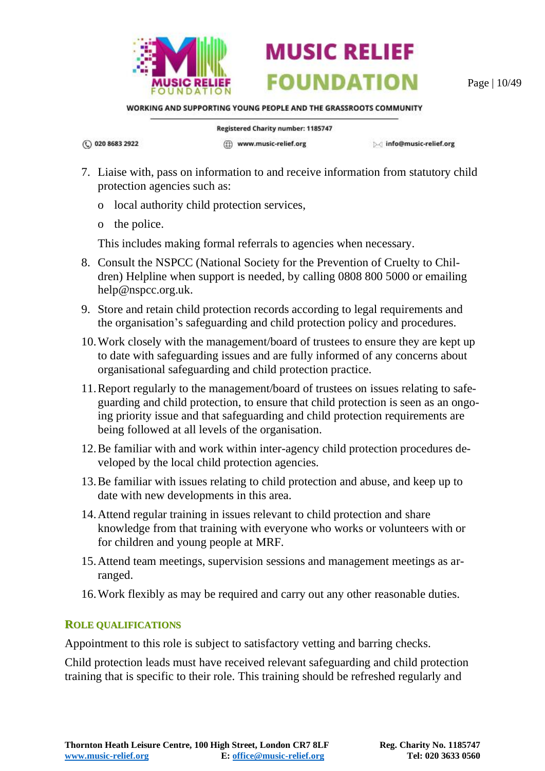

Page | 10/49

WORKING AND SUPPORTING YOUNG PEOPLE AND THE GRASSROOTS COMMUNITY

**MUSIC RELIEF** 

**FOUNDATION** 

(C) 020 8683 2922

Registered Charity number: 1185747 (ff) www.music-relief.org

Minfo@music-relief.org

- 7. Liaise with, pass on information to and receive information from statutory child protection agencies such as:
	- o local authority child protection services,
	- o the police.

This includes making formal referrals to agencies when necessary.

- 8. Consult the NSPCC (National Society for the Prevention of Cruelty to Children) Helpline when support is needed, by calling 0808 800 5000 or emailing help@nspcc.org.uk.
- 9. Store and retain child protection records according to legal requirements and the organisation's safeguarding and child protection policy and procedures.
- 10.Work closely with the management/board of trustees to ensure they are kept up to date with safeguarding issues and are fully informed of any concerns about organisational safeguarding and child protection practice.
- 11.Report regularly to the management/board of trustees on issues relating to safeguarding and child protection, to ensure that child protection is seen as an ongoing priority issue and that safeguarding and child protection requirements are being followed at all levels of the organisation.
- 12.Be familiar with and work within inter-agency child protection procedures developed by the local child protection agencies.
- 13.Be familiar with issues relating to child protection and abuse, and keep up to date with new developments in this area.
- 14.Attend regular training in issues relevant to child protection and share knowledge from that training with everyone who works or volunteers with or for children and young people at MRF.
- 15.Attend team meetings, supervision sessions and management meetings as arranged.
- 16.Work flexibly as may be required and carry out any other reasonable duties.

#### <span id="page-9-0"></span>**ROLE QUALIFICATIONS**

Appointment to this role is subject to satisfactory vetting and barring checks.

Child protection leads must have received relevant safeguarding and child protection training that is specific to their role. This training should be refreshed regularly and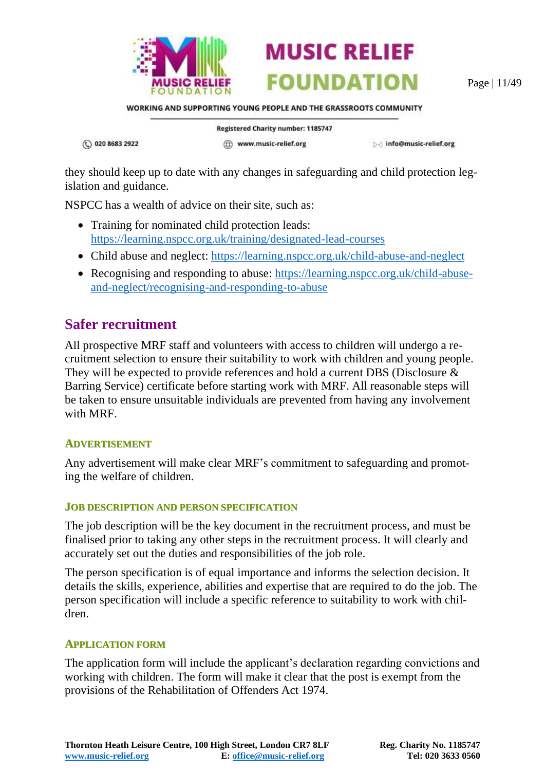

Page | 11/49

WORKING AND SUPPORTING YOUNG PEOPLE AND THE GRASSROOTS COMMUNITY

**MUSIC RELIEF** 

**FOUNDATION** 

(C) 020 8683 2922

Registered Charity number: 1185747 (ff) www.music-relief.org

▷ info@music-relief.org

they should keep up to date with any changes in safeguarding and child protection legislation and guidance.

NSPCC has a wealth of advice on their site, such as:

- Training for nominated child protection leads: <https://learning.nspcc.org.uk/training/designated-lead-courses>
- Child abuse and neglect: <https://learning.nspcc.org.uk/child-abuse-and-neglect>
- Recognising and responding to abuse: [https://learning.nspcc.org.uk/child-abuse](https://learning.nspcc.org.uk/child-abuse-and-neglect/recognising-and-responding-to-abuse)[and-neglect/recognising-and-responding-to-abuse](https://learning.nspcc.org.uk/child-abuse-and-neglect/recognising-and-responding-to-abuse)

### <span id="page-10-0"></span>**Safer recruitment**

All prospective MRF staff and volunteers with access to children will undergo a recruitment selection to ensure their suitability to work with children and young people. They will be expected to provide references and hold a current DBS (Disclosure & Barring Service) certificate before starting work with MRF. All reasonable steps will be taken to ensure unsuitable individuals are prevented from having any involvement with MRF.

#### <span id="page-10-1"></span>**ADVERTISEMENT**

Any advertisement will make clear MRF's commitment to safeguarding and promoting the welfare of children.

#### <span id="page-10-2"></span>**JOB DESCRIPTION AND PERSON SPECIFICATION**

The job description will be the key document in the recruitment process, and must be finalised prior to taking any other steps in the recruitment process. It will clearly and accurately set out the duties and responsibilities of the job role.

The person specification is of equal importance and informs the selection decision. It details the skills, experience, abilities and expertise that are required to do the job. The person specification will include a specific reference to suitability to work with children.

#### <span id="page-10-3"></span>**APPLICATION FORM**

The application form will include the applicant's declaration regarding convictions and working with children. The form will make it clear that the post is exempt from the provisions of the Rehabilitation of Offenders Act 1974.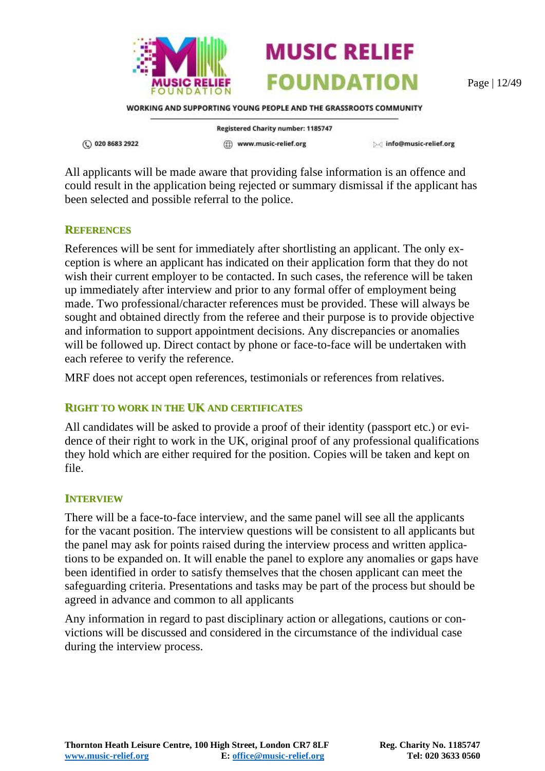

Page | 12/49

WORKING AND SUPPORTING YOUNG PEOPLE AND THE GRASSROOTS COMMUNITY

**MUSIC RELIEF** 

**FOUNDATION** 

(C) 020 8683 2922

**Registered Charity number: 1185747** (ff) www.music-relief.org

▷ info@music-relief.org

All applicants will be made aware that providing false information is an offence and could result in the application being rejected or summary dismissal if the applicant has been selected and possible referral to the police.

#### <span id="page-11-0"></span>**REFERENCES**

References will be sent for immediately after shortlisting an applicant. The only exception is where an applicant has indicated on their application form that they do not wish their current employer to be contacted. In such cases, the reference will be taken up immediately after interview and prior to any formal offer of employment being made. Two professional/character references must be provided. These will always be sought and obtained directly from the referee and their purpose is to provide objective and information to support appointment decisions. Any discrepancies or anomalies will be followed up. Direct contact by phone or face-to-face will be undertaken with each referee to verify the reference.

MRF does not accept open references, testimonials or references from relatives.

#### <span id="page-11-1"></span>**RIGHT TO WORK IN THE UK AND CERTIFICATES**

All candidates will be asked to provide a proof of their identity (passport etc.) or evidence of their right to work in the UK, original proof of any professional qualifications they hold which are either required for the position. Copies will be taken and kept on file.

#### <span id="page-11-2"></span>**INTERVIEW**

There will be a face-to-face interview, and the same panel will see all the applicants for the vacant position. The interview questions will be consistent to all applicants but the panel may ask for points raised during the interview process and written applications to be expanded on. It will enable the panel to explore any anomalies or gaps have been identified in order to satisfy themselves that the chosen applicant can meet the safeguarding criteria. Presentations and tasks may be part of the process but should be agreed in advance and common to all applicants

Any information in regard to past disciplinary action or allegations, cautions or convictions will be discussed and considered in the circumstance of the individual case during the interview process.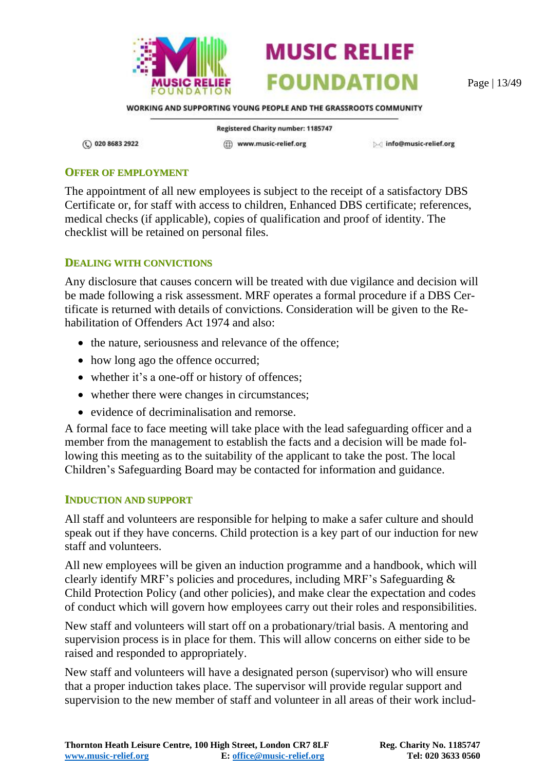

Page | 13/49

WORKING AND SUPPORTING YOUNG PEOPLE AND THE GRASSROOTS COMMUNITY

**MUSIC RELIEF** 

**FOUNDATION** 

(C) 020 8683 2922

Registered Charity number: 1185747 ((i) www.music-relief.org

▷ info@music-relief.org

#### <span id="page-12-0"></span>**OFFER OF EMPLOYMENT**

The appointment of all new employees is subject to the receipt of a satisfactory DBS Certificate or, for staff with access to children, Enhanced DBS certificate; references, medical checks (if applicable), copies of qualification and proof of identity. The checklist will be retained on personal files.

#### <span id="page-12-1"></span>**DEALING WITH CONVICTIONS**

Any disclosure that causes concern will be treated with due vigilance and decision will be made following a risk assessment. MRF operates a formal procedure if a DBS Certificate is returned with details of convictions. Consideration will be given to the Rehabilitation of Offenders Act 1974 and also:

- the nature, seriousness and relevance of the offence;
- how long ago the offence occurred;
- whether it's a one-off or history of offences;
- whether there were changes in circumstances;
- evidence of decriminalisation and remorse.

A formal face to face meeting will take place with the lead safeguarding officer and a member from the management to establish the facts and a decision will be made following this meeting as to the suitability of the applicant to take the post. The local Children's Safeguarding Board may be contacted for information and guidance.

#### <span id="page-12-2"></span>**INDUCTION AND SUPPORT**

All staff and volunteers are responsible for helping to make a safer culture and should speak out if they have concerns. Child protection is a key part of our induction for new staff and volunteers.

All new employees will be given an induction programme and a handbook, which will clearly identify MRF's policies and procedures, including MRF's Safeguarding & Child Protection Policy (and other policies), and make clear the expectation and codes of conduct which will govern how employees carry out their roles and responsibilities.

New staff and volunteers will start off on a probationary/trial basis. A mentoring and supervision process is in place for them. This will allow concerns on either side to be raised and responded to appropriately.

New staff and volunteers will have a designated person (supervisor) who will ensure that a proper induction takes place. The supervisor will provide regular support and supervision to the new member of staff and volunteer in all areas of their work includ-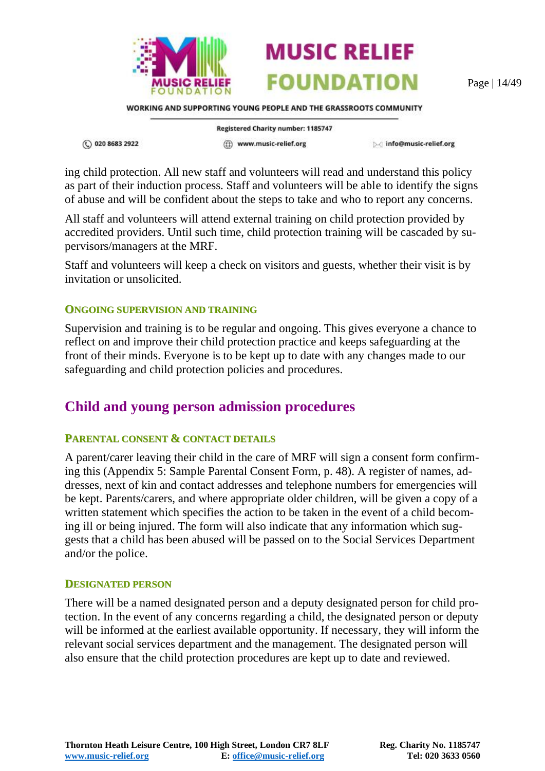

Page | 14/49

WORKING AND SUPPORTING YOUNG PEOPLE AND THE GRASSROOTS COMMUNITY

(C) 020 8683 2922

**Registered Charity number: 1185747** (ff) www.music-relief.org

▷ info@music-relief.org

ing child protection. All new staff and volunteers will read and understand this policy as part of their induction process. Staff and volunteers will be able to identify the signs of abuse and will be confident about the steps to take and who to report any concerns.

All staff and volunteers will attend external training on child protection provided by accredited providers. Until such time, child protection training will be cascaded by supervisors/managers at the MRF.

Staff and volunteers will keep a check on visitors and guests, whether their visit is by invitation or unsolicited.

#### <span id="page-13-0"></span>**ONGOING SUPERVISION AND TRAINING**

Supervision and training is to be regular and ongoing. This gives everyone a chance to reflect on and improve their child protection practice and keeps safeguarding at the front of their minds. Everyone is to be kept up to date with any changes made to our safeguarding and child protection policies and procedures.

### <span id="page-13-1"></span>**Child and young person admission procedures**

#### <span id="page-13-2"></span>**PARENTAL CONSENT & CONTACT DETAILS**

A parent/carer leaving their child in the care of MRF will sign a consent form confirming this (Appendix 5: [Sample Parental Consent Form,](#page-47-0) p. [48\)](#page-47-0). A register of names, addresses, next of kin and contact addresses and telephone numbers for emergencies will be kept. Parents/carers, and where appropriate older children, will be given a copy of a written statement which specifies the action to be taken in the event of a child becoming ill or being injured. The form will also indicate that any information which suggests that a child has been abused will be passed on to the Social Services Department and/or the police.

#### <span id="page-13-3"></span>**DESIGNATED PERSON**

There will be a named designated person and a deputy designated person for child protection. In the event of any concerns regarding a child, the designated person or deputy will be informed at the earliest available opportunity. If necessary, they will inform the relevant social services department and the management. The designated person will also ensure that the child protection procedures are kept up to date and reviewed.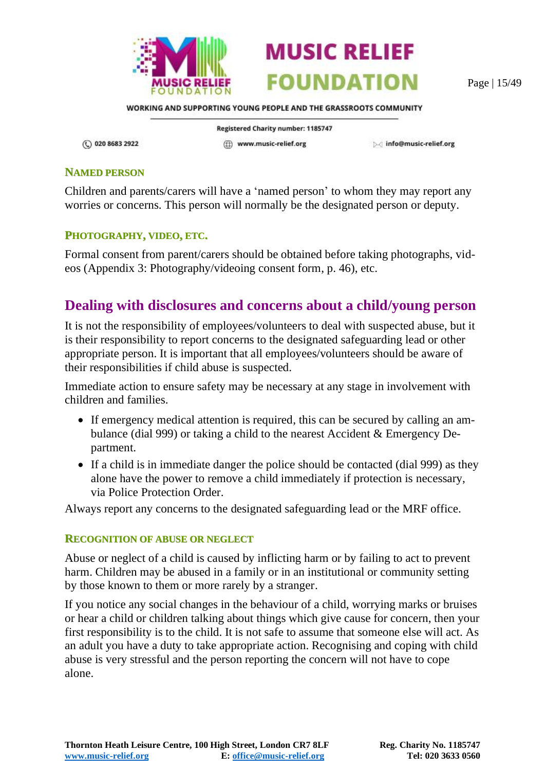



Page | 15/49

WORKING AND SUPPORTING YOUNG PEOPLE AND THE GRASSROOTS COMMUNITY

(C) 020 8683 2922

Registered Charity number: 1185747 ((i) www.music-relief.org

▷ info@music-relief.org

#### <span id="page-14-0"></span>**NAMED PERSON**

Children and parents/carers will have a 'named person' to whom they may report any worries or concerns. This person will normally be the designated person or deputy.

#### <span id="page-14-1"></span>**PHOTOGRAPHY, VIDEO, ETC.**

Formal consent from parent/carers should be obtained before taking photographs, videos [\(Appendix 3: Photography/videoing consent form,](#page-45-0) p. [46\)](#page-45-0), etc.

### <span id="page-14-2"></span>**Dealing with disclosures and concerns about a child/young person**

It is not the responsibility of employees/volunteers to deal with suspected abuse, but it is their responsibility to report concerns to the designated safeguarding lead or other appropriate person. It is important that all employees/volunteers should be aware of their responsibilities if child abuse is suspected.

Immediate action to ensure safety may be necessary at any stage in involvement with children and families.

- If emergency medical attention is required, this can be secured by calling an ambulance (dial 999) or taking a child to the nearest Accident & Emergency Department.
- If a child is in immediate danger the police should be contacted (dial 999) as they alone have the power to remove a child immediately if protection is necessary, via Police Protection Order.

Always report any concerns to the designated safeguarding lead or the MRF office.

#### <span id="page-14-3"></span>**RECOGNITION OF ABUSE OR NEGLECT**

Abuse or neglect of a child is caused by inflicting harm or by failing to act to prevent harm. Children may be abused in a family or in an institutional or community setting by those known to them or more rarely by a stranger.

If you notice any social changes in the behaviour of a child, worrying marks or bruises or hear a child or children talking about things which give cause for concern, then your first responsibility is to the child. It is not safe to assume that someone else will act. As an adult you have a duty to take appropriate action. Recognising and coping with child abuse is very stressful and the person reporting the concern will not have to cope alone.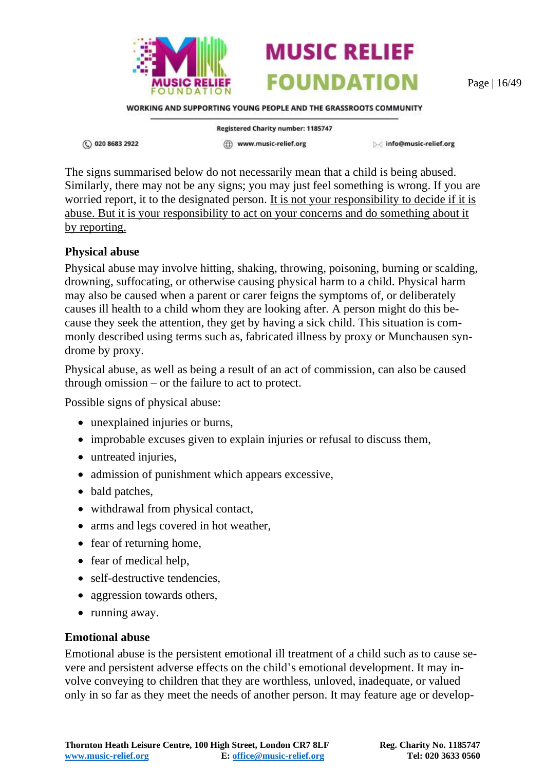

Page | 16/49

WORKING AND SUPPORTING YOUNG PEOPLE AND THE GRASSROOTS COMMUNITY

① 020 8683 2922

**Registered Charity number: 1185747** (ff) www.music-relief.org

▷ info@music-relief.org

The signs summarised below do not necessarily mean that a child is being abused. Similarly, there may not be any signs; you may just feel something is wrong. If you are worried report, it to the designated person. It is not your responsibility to decide if it is abuse. But it is your responsibility to act on your concerns and do something about it by reporting.

#### **Physical abuse**

Physical abuse may involve hitting, shaking, throwing, poisoning, burning or scalding, drowning, suffocating, or otherwise causing physical harm to a child. Physical harm may also be caused when a parent or carer feigns the symptoms of, or deliberately causes ill health to a child whom they are looking after. A person might do this because they seek the attention, they get by having a sick child. This situation is commonly described using terms such as, fabricated illness by proxy or Munchausen syndrome by proxy.

Physical abuse, as well as being a result of an act of commission, can also be caused through omission – or the failure to act to protect.

Possible signs of physical abuse:

- unexplained injuries or burns,
- improbable excuses given to explain injuries or refusal to discuss them,
- untreated injuries,
- admission of punishment which appears excessive,
- bald patches,
- withdrawal from physical contact,
- arms and legs covered in hot weather,
- fear of returning home,
- fear of medical help,
- self-destructive tendencies,
- aggression towards others,
- running away.

#### **Emotional abuse**

Emotional abuse is the persistent emotional ill treatment of a child such as to cause severe and persistent adverse effects on the child's emotional development. It may involve conveying to children that they are worthless, unloved, inadequate, or valued only in so far as they meet the needs of another person. It may feature age or develop-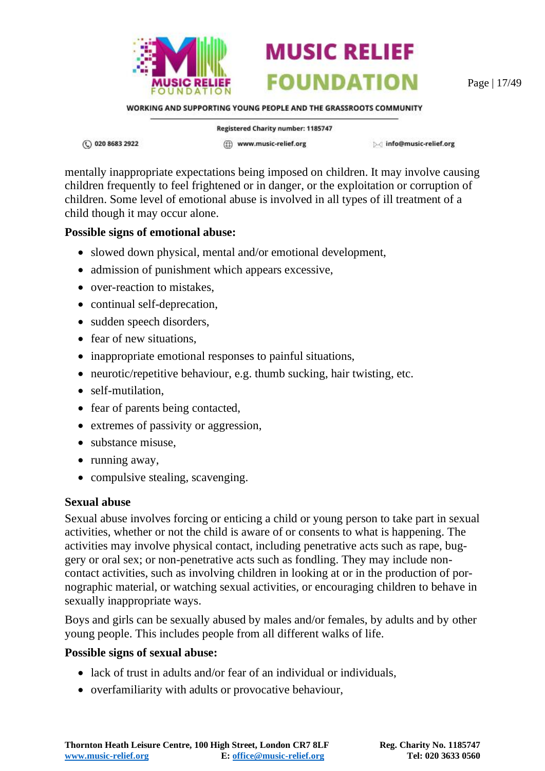

Page | 17/49

WORKING AND SUPPORTING YOUNG PEOPLE AND THE GRASSROOTS COMMUNITY

**MUSIC RELIEF** 

**FOUNDATION** 

① 020 8683 2922

Registered Charity number: 1185747 (ff) www.music-relief.org

▷ info@music-relief.org

mentally inappropriate expectations being imposed on children. It may involve causing children frequently to feel frightened or in danger, or the exploitation or corruption of children. Some level of emotional abuse is involved in all types of ill treatment of a child though it may occur alone.

#### **Possible signs of emotional abuse:**

- slowed down physical, mental and/or emotional development,
- admission of punishment which appears excessive,
- over-reaction to mistakes.
- continual self-deprecation,
- sudden speech disorders,
- fear of new situations.
- inappropriate emotional responses to painful situations,
- neurotic/repetitive behaviour, e.g. thumb sucking, hair twisting, etc.
- self-mutilation.
- fear of parents being contacted,
- extremes of passivity or aggression,
- substance misuse,
- running away,
- compulsive stealing, scavenging.

#### **Sexual abuse**

Sexual abuse involves forcing or enticing a child or young person to take part in sexual activities, whether or not the child is aware of or consents to what is happening. The activities may involve physical contact, including penetrative acts such as rape, buggery or oral sex; or non-penetrative acts such as fondling. They may include noncontact activities, such as involving children in looking at or in the production of pornographic material, or watching sexual activities, or encouraging children to behave in sexually inappropriate ways.

Boys and girls can be sexually abused by males and/or females, by adults and by other young people. This includes people from all different walks of life.

#### **Possible signs of sexual abuse:**

- lack of trust in adults and/or fear of an individual or individuals,
- overfamiliarity with adults or provocative behaviour,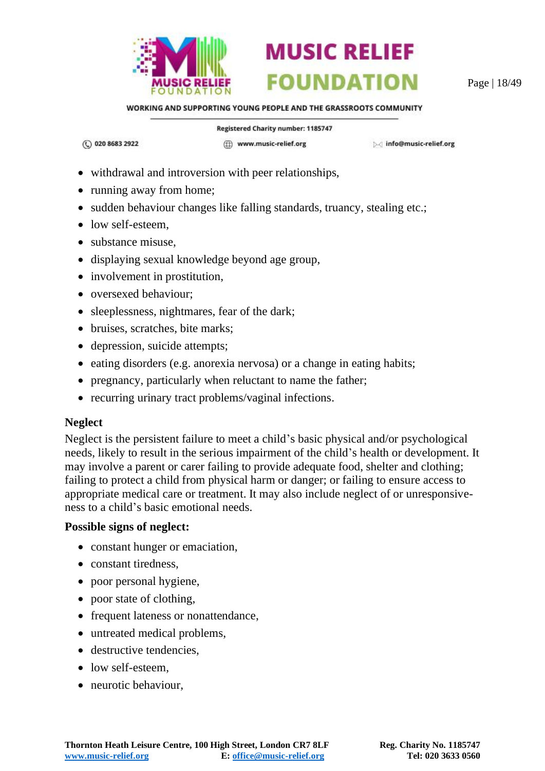

Page | 18/49

WORKING AND SUPPORTING YOUNG PEOPLE AND THE GRASSROOTS COMMUNITY

(C) 020 8683 2922

Registered Charity number: 1185747

(ff) www.music-relief.org

Minfo@music-relief.org

- withdrawal and introversion with peer relationships,
- running away from home;
- sudden behaviour changes like falling standards, truancy, stealing etc.;
- low self-esteem,
- substance misuse,
- displaying sexual knowledge beyond age group,
- involvement in prostitution,
- oversexed behaviour;
- sleeplessness, nightmares, fear of the dark;
- bruises, scratches, bite marks;
- depression, suicide attempts;
- eating disorders (e.g. anorexia nervosa) or a change in eating habits;
- pregnancy, particularly when reluctant to name the father;
- recurring urinary tract problems/vaginal infections.

#### **Neglect**

Neglect is the persistent failure to meet a child's basic physical and/or psychological needs, likely to result in the serious impairment of the child's health or development. It may involve a parent or carer failing to provide adequate food, shelter and clothing; failing to protect a child from physical harm or danger; or failing to ensure access to appropriate medical care or treatment. It may also include neglect of or unresponsiveness to a child's basic emotional needs.

#### **Possible signs of neglect:**

- constant hunger or emaciation,
- constant tiredness,
- poor personal hygiene,
- poor state of clothing,
- frequent lateness or nonattendance,
- untreated medical problems,
- destructive tendencies.
- low self-esteem.
- neurotic behaviour,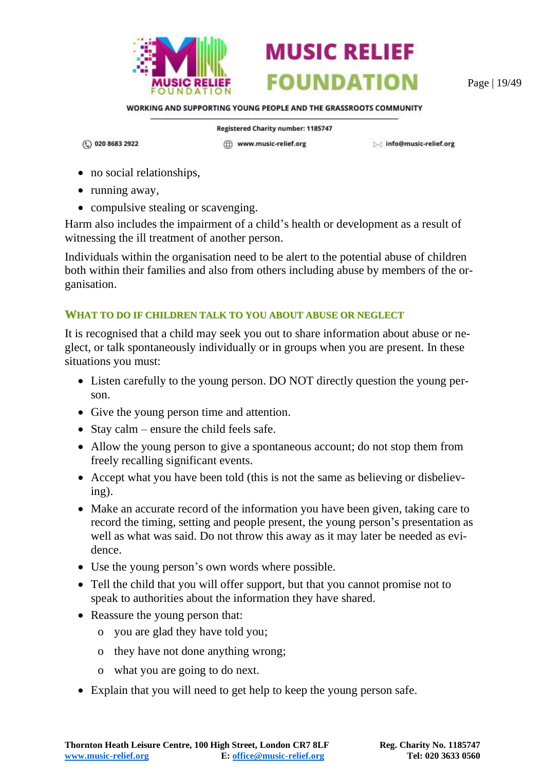

Page | 19/49

WORKING AND SUPPORTING YOUNG PEOPLE AND THE GRASSROOTS COMMUNITY

(C) 020 8683 2922

Registered Charity number: 1185747 (ff) www.music-relief.org

▷ info@music-relief.org

- no social relationships,
- running away,
- compulsive stealing or scavenging.

Harm also includes the impairment of a child's health or development as a result of witnessing the ill treatment of another person.

Individuals within the organisation need to be alert to the potential abuse of children both within their families and also from others including abuse by members of the organisation.

#### <span id="page-18-0"></span>**WHAT TO DO IF CHILDREN TALK TO YOU ABOUT ABUSE OR NEGLECT**

It is recognised that a child may seek you out to share information about abuse or neglect, or talk spontaneously individually or in groups when you are present. In these situations you must:

- Listen carefully to the young person. DO NOT directly question the young person.
- Give the young person time and attention.
- Stay calm ensure the child feels safe.
- Allow the young person to give a spontaneous account; do not stop them from freely recalling significant events.
- Accept what you have been told (this is not the same as believing or disbelieving).
- Make an accurate record of the information you have been given, taking care to record the timing, setting and people present, the young person's presentation as well as what was said. Do not throw this away as it may later be needed as evidence.
- Use the young person's own words where possible.
- Tell the child that you will offer support, but that you cannot promise not to speak to authorities about the information they have shared.
- Reassure the young person that:
	- o you are glad they have told you;
	- o they have not done anything wrong;
	- o what you are going to do next.
- Explain that you will need to get help to keep the young person safe.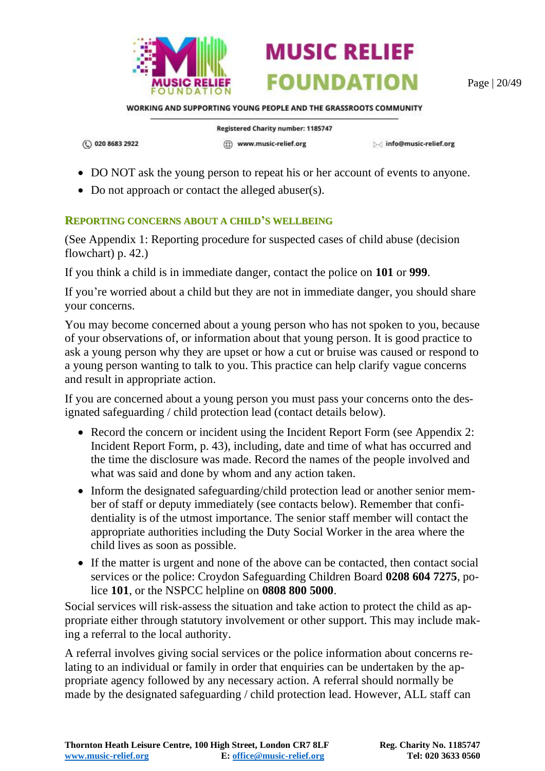

Page | 20/49

WORKING AND SUPPORTING YOUNG PEOPLE AND THE GRASSROOTS COMMUNITY

**MUSIC RELIEF** 

**FOUNDATION** 

(C) 020 8683 2922

Registered Charity number: 1185747 (ff) www.music-relief.org

▷ info@music-relief.org

- DO NOT ask the young person to repeat his or her account of events to anyone.
- Do not approach or contact the alleged abuser(s).

#### <span id="page-19-0"></span>**REPORTING CONCERNS ABOUT A CHILD'S WELLBEING**

(See [Appendix 1: Reporting procedure for suspected cases of child abuse](#page-41-0) (decision [flowchart\)](#page-41-0) p. [42.](#page-41-0))

If you think a child is in immediate danger, contact the police on **101** or **999**.

If you're worried about a child but they are not in immediate danger, you should share your concerns.

You may become concerned about a young person who has not spoken to you, because of your observations of, or information about that young person. It is good practice to ask a young person why they are upset or how a cut or bruise was caused or respond to a young person wanting to talk to you. This practice can help clarify vague concerns and result in appropriate action.

If you are concerned about a young person you must pass your concerns onto the designated safeguarding / child protection lead (contact details below).

- Record the concern or incident using the Incident Report Form (see Appendix 2: [Incident Report Form,](#page-42-0) p. [43\)](#page-42-0), including, date and time of what has occurred and the time the disclosure was made. Record the names of the people involved and what was said and done by whom and any action taken.
- Inform the designated safeguarding/child protection lead or another senior member of staff or deputy immediately (see contacts below). Remember that confidentiality is of the utmost importance. The senior staff member will contact the appropriate authorities including the Duty Social Worker in the area where the child lives as soon as possible.
- If the matter is urgent and none of the above can be contacted, then contact social services or the police: Croydon Safeguarding Children Board **0208 604 7275**, police **101**, or the NSPCC helpline on **0808 800 5000**.

Social services will risk-assess the situation and take action to protect the child as appropriate either through statutory involvement or other support. This may include making a referral to the local authority.

A referral involves giving social services or the police information about concerns relating to an individual or family in order that enquiries can be undertaken by the appropriate agency followed by any necessary action. A referral should normally be made by the designated safeguarding / child protection lead. However, ALL staff can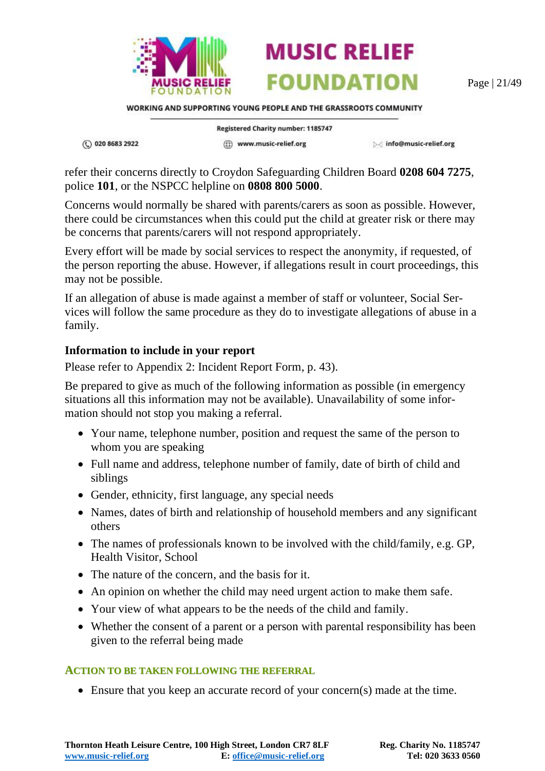



WORKING AND SUPPORTING YOUNG PEOPLE AND THE GRASSROOTS COMMUNITY

① 020 8683 2922

Registered Charity number: 1185747 (ff) www.music-relief.org

▷ info@music-relief.org

refer their concerns directly to Croydon Safeguarding Children Board **0208 604 7275**, police **101**, or the NSPCC helpline on **0808 800 5000**.

Concerns would normally be shared with parents/carers as soon as possible. However, there could be circumstances when this could put the child at greater risk or there may be concerns that parents/carers will not respond appropriately.

Every effort will be made by social services to respect the anonymity, if requested, of the person reporting the abuse. However, if allegations result in court proceedings, this may not be possible.

If an allegation of abuse is made against a member of staff or volunteer, Social Services will follow the same procedure as they do to investigate allegations of abuse in a family.

#### **Information to include in your report**

Please refer to [Appendix 2: Incident Report Form,](#page-42-0) p. [43\)](#page-42-0).

Be prepared to give as much of the following information as possible (in emergency situations all this information may not be available). Unavailability of some information should not stop you making a referral.

- Your name, telephone number, position and request the same of the person to whom you are speaking
- Full name and address, telephone number of family, date of birth of child and siblings
- Gender, ethnicity, first language, any special needs
- Names, dates of birth and relationship of household members and any significant others
- The names of professionals known to be involved with the child/family, e.g. GP, Health Visitor, School
- The nature of the concern, and the basis for it.
- An opinion on whether the child may need urgent action to make them safe.
- Your view of what appears to be the needs of the child and family.
- Whether the consent of a parent or a person with parental responsibility has been given to the referral being made

#### <span id="page-20-0"></span>**ACTION TO BE TAKEN FOLLOWING THE REFERRAL**

• Ensure that you keep an accurate record of your concern(s) made at the time.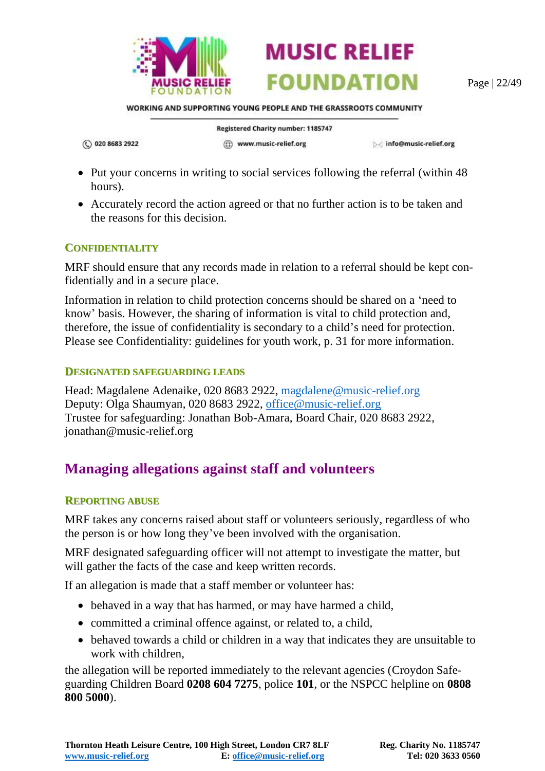

Page | 22/49

WORKING AND SUPPORTING YOUNG PEOPLE AND THE GRASSROOTS COMMUNITY

**MUSIC RELIEF** 

**FOUNDATION** 

(C) 020 8683 2922

Registered Charity number: 1185747

(ff) www.music-relief.org

Minfo@music-relief.org

- Put your concerns in writing to social services following the referral (within 48) hours).
- Accurately record the action agreed or that no further action is to be taken and the reasons for this decision.

#### <span id="page-21-0"></span>**CONFIDENTIALITY**

MRF should ensure that any records made in relation to a referral should be kept confidentially and in a secure place.

Information in relation to child protection concerns should be shared on a 'need to know' basis. However, the sharing of information is vital to child protection and, therefore, the issue of confidentiality is secondary to a child's need for protection. Please see [Confidentiality: guidelines for youth work,](#page-30-0) p. [31](#page-30-0) for more information.

#### <span id="page-21-1"></span>**DESIGNATED SAFEGUARDING LEADS**

Head: Magdalene Adenaike, 020 8683 2922, [magdalene@music-relief.org](mailto:magdalene@music-relief.org) Deputy: Olga Shaumyan, 020 8683 2922, [office@music-relief.org](mailto:office@music-relief.org) Trustee for safeguarding: Jonathan Bob-Amara, Board Chair, 020 8683 2922, jonathan@music-relief.org

### <span id="page-21-2"></span>**Managing allegations against staff and volunteers**

#### <span id="page-21-3"></span>**REPORTING ABUSE**

MRF takes any concerns raised about staff or volunteers seriously, regardless of who the person is or how long they've been involved with the organisation.

MRF designated safeguarding officer will not attempt to investigate the matter, but will gather the facts of the case and keep written records.

If an allegation is made that a staff member or volunteer has:

- behaved in a way that has harmed, or may have harmed a child,
- committed a criminal offence against, or related to, a child,
- behaved towards a child or children in a way that indicates they are unsuitable to work with children,

the allegation will be reported immediately to the relevant agencies (Croydon Safeguarding Children Board **0208 604 7275**, police **101**, or the NSPCC helpline on **0808 800 5000**).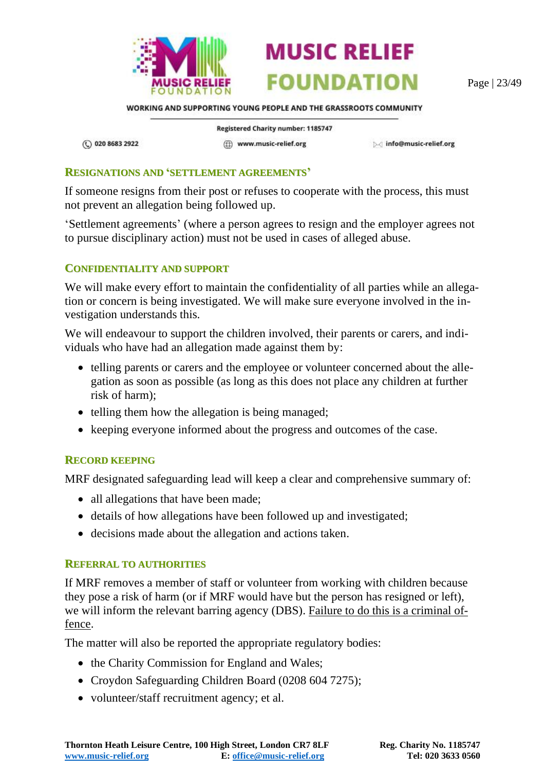



Page | 23/49

WORKING AND SUPPORTING YOUNG PEOPLE AND THE GRASSROOTS COMMUNITY

(C) 020 8683 2922

Registered Charity number: 1185747 (ff) www.music-relief.org

Minfo@music-relief.org

#### <span id="page-22-0"></span>**RESIGNATIONS AND 'SETTLEMENT AGREEMENTS'**

If someone resigns from their post or refuses to cooperate with the process, this must not prevent an allegation being followed up.

'Settlement agreements' (where a person agrees to resign and the employer agrees not to pursue disciplinary action) must not be used in cases of alleged abuse.

#### <span id="page-22-1"></span>**CONFIDENTIALITY AND SUPPORT**

We will make every effort to maintain the confidentiality of all parties while an allegation or concern is being investigated. We will make sure everyone involved in the investigation understands this.

We will endeavour to support the children involved, their parents or carers, and individuals who have had an allegation made against them by:

- telling parents or carers and the employee or volunteer concerned about the allegation as soon as possible (as long as this does not place any children at further risk of harm);
- telling them how the allegation is being managed;
- keeping everyone informed about the progress and outcomes of the case.

#### <span id="page-22-2"></span>**RECORD KEEPING**

MRF designated safeguarding lead will keep a clear and comprehensive summary of:

- all allegations that have been made;
- details of how allegations have been followed up and investigated;
- decisions made about the allegation and actions taken.

#### <span id="page-22-3"></span>**REFERRAL TO AUTHORITIES**

If MRF removes a member of staff or volunteer from working with children because they pose a risk of harm (or if MRF would have but the person has resigned or left), we will inform the relevant barring agency (DBS). Failure to do this is a criminal offence.

The matter will also be reported the appropriate regulatory bodies:

- the Charity Commission for England and Wales;
- Croydon Safeguarding Children Board (0208 604 7275);
- volunteer/staff recruitment agency; et al.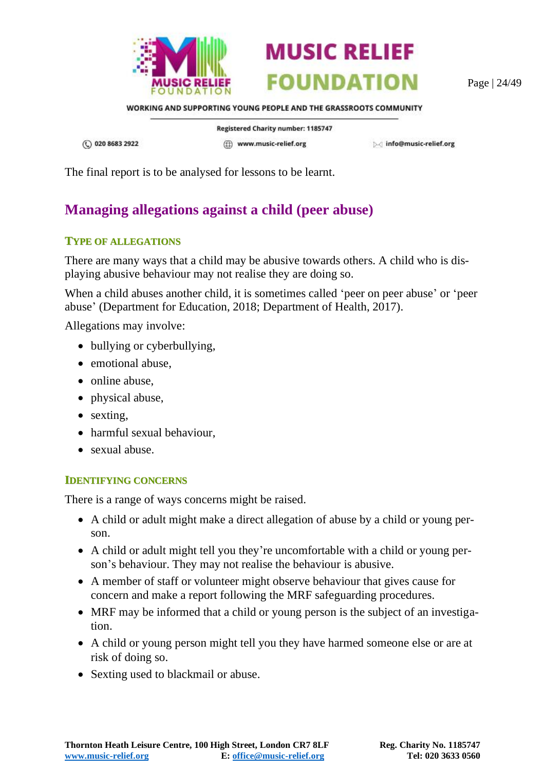



Page | 24/49

WORKING AND SUPPORTING YOUNG PEOPLE AND THE GRASSROOTS COMMUNITY

(C) 020 8683 2922

Registered Charity number: 1185747 (ff) www.music-relief.org

▷ info@music-relief.org

The final report is to be analysed for lessons to be learnt.

# <span id="page-23-0"></span>**Managing allegations against a child (peer abuse)**

#### <span id="page-23-1"></span>**TYPE OF ALLEGATIONS**

There are many ways that a child may be abusive towards others. A child who is displaying abusive behaviour may not realise they are doing so.

When a child abuses another child, it is sometimes called 'peer on peer abuse' or 'peer abuse' (Department for Education, 2018; Department of Health, 2017).

Allegations may involve:

- bullying or cyberbullying,
- emotional abuse,
- online abuse,
- physical abuse,
- sexting,
- harmful sexual behaviour,
- sexual abuse.

#### <span id="page-23-2"></span>**IDENTIFYING CONCERNS**

There is a range of ways concerns might be raised.

- A child or adult might make a direct allegation of abuse by a child or young person.
- A child or adult might tell you they're uncomfortable with a child or young person's behaviour. They may not realise the behaviour is abusive.
- A member of staff or volunteer might observe behaviour that gives cause for concern and make a report following the MRF safeguarding procedures.
- MRF may be informed that a child or young person is the subject of an investigation.
- A child or young person might tell you they have harmed someone else or are at risk of doing so.
- Sexting used to blackmail or abuse.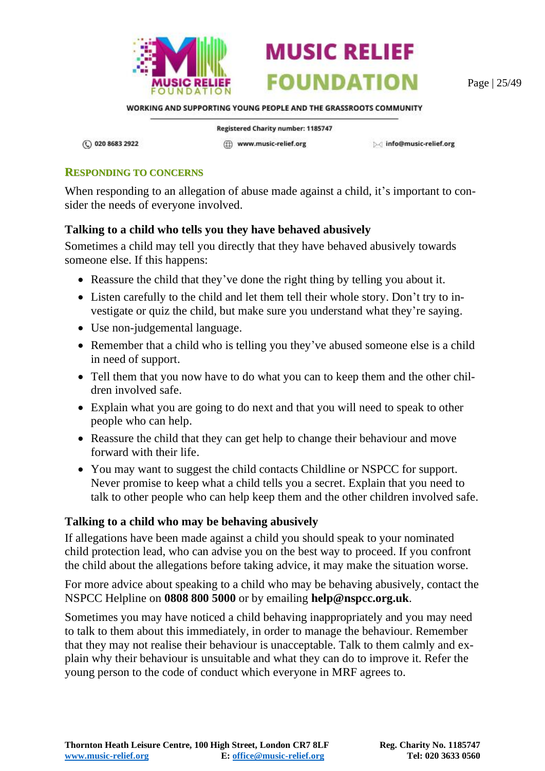

**FOUNDATION** Page | 25/49

WORKING AND SUPPORTING YOUNG PEOPLE AND THE GRASSROOTS COMMUNITY

**MUSIC RELIEF** 

(C) 020 8683 2922

Registered Charity number: 1185747 (iii) www.music-relief.org

▷ info@music-relief.org

#### <span id="page-24-0"></span>**RESPONDING TO CONCERNS**

When responding to an allegation of abuse made against a child, it's important to consider the needs of everyone involved.

#### **Talking to a child who tells you they have behaved abusively**

Sometimes a child may tell you directly that they have behaved abusively towards someone else. If this happens:

- Reassure the child that they've done the right thing by telling you about it.
- Listen carefully to the child and let them tell their whole story. Don't try to investigate or quiz the child, but make sure you understand what they're saying.
- Use non-judgemental language.
- Remember that a child who is telling you they've abused someone else is a child in need of support.
- Tell them that you now have to do what you can to keep them and the other children involved safe.
- Explain what you are going to do next and that you will need to speak to other people who can help.
- Reassure the child that they can get help to change their behaviour and move forward with their life.
- You may want to suggest the child contacts Childline or NSPCC for support. Never promise to keep what a child tells you a secret. Explain that you need to talk to other people who can help keep them and the other children involved safe.

#### **Talking to a child who may be behaving abusively**

If allegations have been made against a child you should speak to your nominated child protection lead, who can advise you on the best way to proceed. If you confront the child about the allegations before taking advice, it may make the situation worse.

For more advice about speaking to a child who may be behaving abusively, contact the NSPCC Helpline on **0808 800 5000** or by emailing **help@nspcc.org.uk**.

Sometimes you may have noticed a child behaving inappropriately and you may need to talk to them about this immediately, in order to manage the behaviour. Remember that they may not realise their behaviour is unacceptable. Talk to them calmly and explain why their behaviour is unsuitable and what they can do to improve it. Refer the young person to the code of conduct which everyone in MRF agrees to.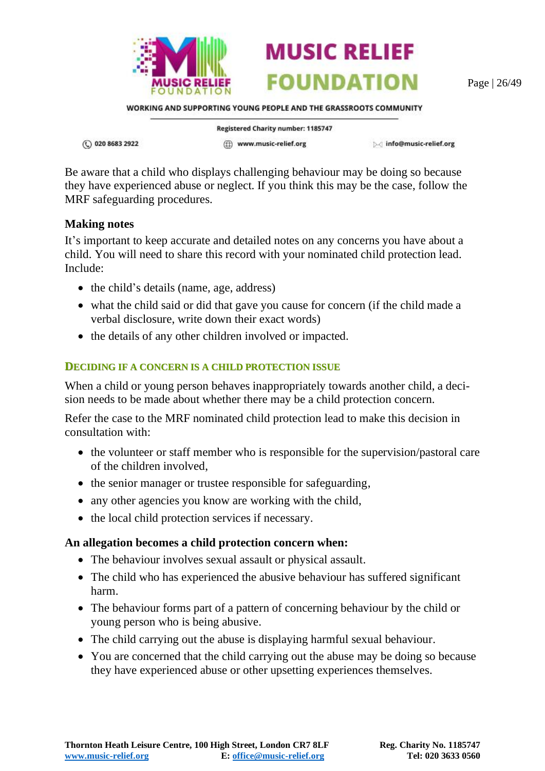

Page | 26/49

WORKING AND SUPPORTING YOUNG PEOPLE AND THE GRASSROOTS COMMUNITY

**MUSIC RELIEF** 

**FOUNDATION** 

① 020 8683 2922

Registered Charity number: 1185747 (ff) www.music-relief.org

▷ info@music-relief.org

Be aware that a child who displays challenging behaviour may be doing so because they have experienced abuse or neglect. If you think this may be the case, follow the MRF safeguarding procedures.

#### **Making notes**

It's important to keep accurate and detailed notes on any concerns you have about a child. You will need to share this record with your nominated child protection lead. Include:

- the child's details (name, age, address)
- what the child said or did that gave you cause for concern (if the child made a verbal disclosure, write down their exact words)
- the details of any other children involved or impacted.

#### <span id="page-25-0"></span>**DECIDING IF A CONCERN IS A CHILD PROTECTION ISSUE**

When a child or young person behaves inappropriately towards another child, a decision needs to be made about whether there may be a child protection concern.

Refer the case to the MRF nominated child protection lead to make this decision in consultation with:

- the volunteer or staff member who is responsible for the supervision/pastoral care of the children involved,
- the senior manager or trustee responsible for safeguarding,
- any other agencies you know are working with the child,
- the local child protection services if necessary.

#### **An allegation becomes a child protection concern when:**

- The behaviour involves sexual assault or physical assault.
- The child who has experienced the abusive behaviour has suffered significant harm.
- The behaviour forms part of a pattern of concerning behaviour by the child or young person who is being abusive.
- The child carrying out the abuse is displaying harmful sexual behaviour.
- You are concerned that the child carrying out the abuse may be doing so because they have experienced abuse or other upsetting experiences themselves.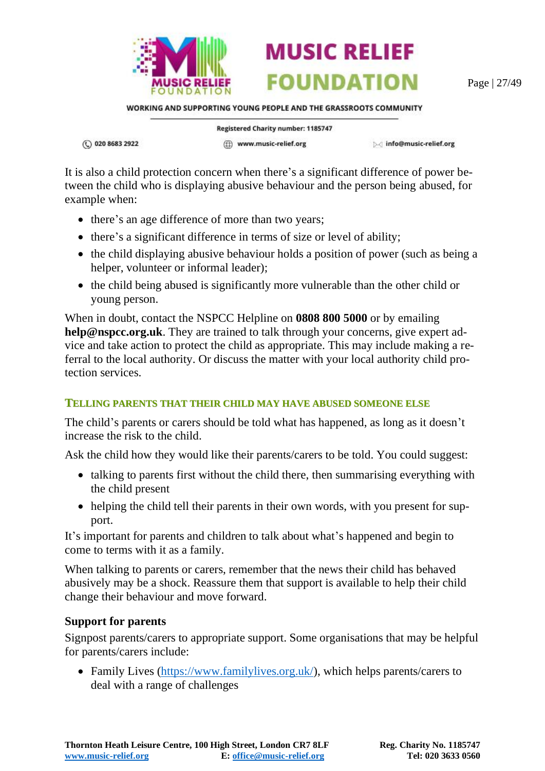

Page | 27/49

WORKING AND SUPPORTING YOUNG PEOPLE AND THE GRASSROOTS COMMUNITY

**MUSIC RELIEF** 

**FOUNDATION** 

① 020 8683 2922

Registered Charity number: 1185747 (ff) www.music-relief.org

▷ info@music-relief.org

It is also a child protection concern when there's a significant difference of power between the child who is displaying abusive behaviour and the person being abused, for example when:

- there's an age difference of more than two years;
- there's a significant difference in terms of size or level of ability;
- the child displaying abusive behaviour holds a position of power (such as being a helper, volunteer or informal leader);
- the child being abused is significantly more vulnerable than the other child or young person.

When in doubt, contact the NSPCC Helpline on **0808 800 5000** or by emailing **help@nspcc.org.uk**. They are trained to talk through your concerns, give expert advice and take action to protect the child as appropriate. This may include making a referral to the local authority. Or discuss the matter with your local authority child protection services.

#### <span id="page-26-0"></span>**TELLING PARENTS THAT THEIR CHILD MAY HAVE ABUSED SOMEONE ELSE**

The child's parents or carers should be told what has happened, as long as it doesn't increase the risk to the child.

Ask the child how they would like their parents/carers to be told. You could suggest:

- talking to parents first without the child there, then summarising everything with the child present
- helping the child tell their parents in their own words, with you present for support.

It's important for parents and children to talk about what's happened and begin to come to terms with it as a family.

When talking to parents or carers, remember that the news their child has behaved abusively may be a shock. Reassure them that support is available to help their child change their behaviour and move forward.

#### **Support for parents**

Signpost parents/carers to appropriate support. Some organisations that may be helpful for parents/carers include:

• Family Lives [\(https://www.familylives.org.uk/\)](https://www.familylives.org.uk/), which helps parents/carers to deal with a range of challenges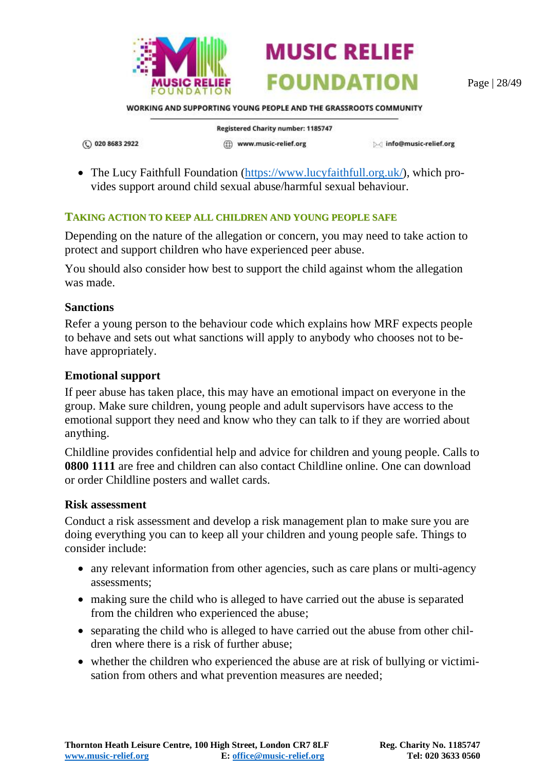



Page | 28/49

WORKING AND SUPPORTING YOUNG PEOPLE AND THE GRASSROOTS COMMUNITY

Registered Charity number: 1185747

(C) 020 8683 2922

(ff) www.music-relief.org

Minfo@music-relief.org

• The Lucy Faithfull Foundation [\(https://www.lucyfaithfull.org.uk/\)](https://www.lucyfaithfull.org.uk/), which provides support around child sexual abuse/harmful sexual behaviour.

#### <span id="page-27-0"></span>**TAKING ACTION TO KEEP ALL CHILDREN AND YOUNG PEOPLE SAFE**

Depending on the nature of the allegation or concern, you may need to take action to protect and support children who have experienced peer abuse.

You should also consider how best to support the child against whom the allegation was made.

#### **Sanctions**

Refer a young person to the behaviour code which explains how MRF expects people to behave and sets out what sanctions will apply to anybody who chooses not to behave appropriately.

#### **Emotional support**

If peer abuse has taken place, this may have an emotional impact on everyone in the group. Make sure children, young people and adult supervisors have access to the emotional support they need and know who they can talk to if they are worried about anything.

Childline provides confidential help and advice for children and young people. Calls to **0800 1111** are free and children can also contact Childline online. One can download or order Childline posters and wallet cards.

#### **Risk assessment**

Conduct a risk assessment and develop a risk management plan to make sure you are doing everything you can to keep all your children and young people safe. Things to consider include:

- any relevant information from other agencies, such as care plans or multi-agency assessments;
- making sure the child who is alleged to have carried out the abuse is separated from the children who experienced the abuse;
- separating the child who is alleged to have carried out the abuse from other children where there is a risk of further abuse;
- whether the children who experienced the abuse are at risk of bullying or victimisation from others and what prevention measures are needed;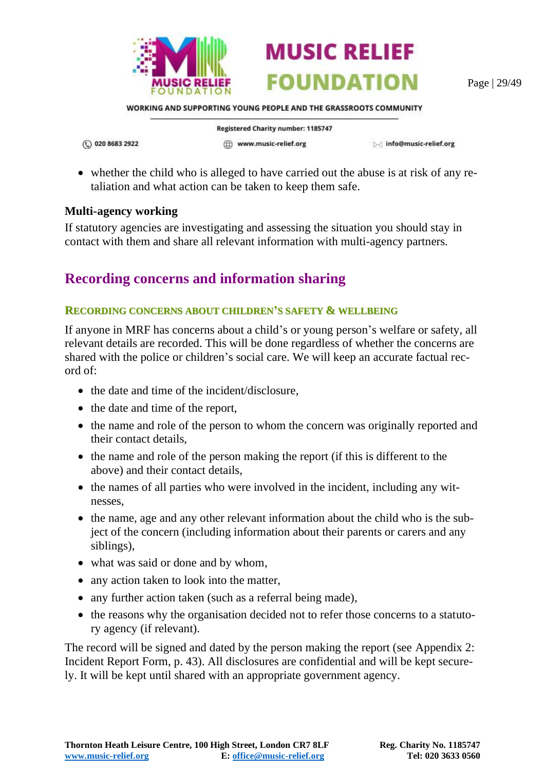

Page | 29/49

WORKING AND SUPPORTING YOUNG PEOPLE AND THE GRASSROOTS COMMUNITY

(C) 020 8683 2922

Registered Charity number: 1185747 (ff) www.music-relief.org

Minfo@music-relief.org

• whether the child who is alleged to have carried out the abuse is at risk of any retaliation and what action can be taken to keep them safe.

#### **Multi-agency working**

If statutory agencies are investigating and assessing the situation you should stay in contact with them and share all relevant information with multi-agency partners.

### <span id="page-28-0"></span>**Recording concerns and information sharing**

#### <span id="page-28-1"></span>**RECORDING CONCERNS ABOUT CHILDREN'S SAFETY & WELLBEING**

If anyone in MRF has concerns about a child's or young person's welfare or safety, all relevant details are recorded. This will be done regardless of whether the concerns are shared with the police or children's social care. We will keep an accurate factual record of:

- the date and time of the incident/disclosure,
- the date and time of the report,
- the name and role of the person to whom the concern was originally reported and their contact details,
- the name and role of the person making the report (if this is different to the above) and their contact details,
- the names of all parties who were involved in the incident, including any witnesses,
- the name, age and any other relevant information about the child who is the subject of the concern (including information about their parents or carers and any siblings),
- what was said or done and by whom,
- any action taken to look into the matter,
- any further action taken (such as a referral being made),
- the reasons why the organisation decided not to refer those concerns to a statutory agency (if relevant).

The record will be signed and dated by the person making the report (see [Appendix 2:](#page-42-0)  [Incident Report Form,](#page-42-0) p. [43\)](#page-42-0). All disclosures are confidential and will be kept securely. It will be kept until shared with an appropriate government agency.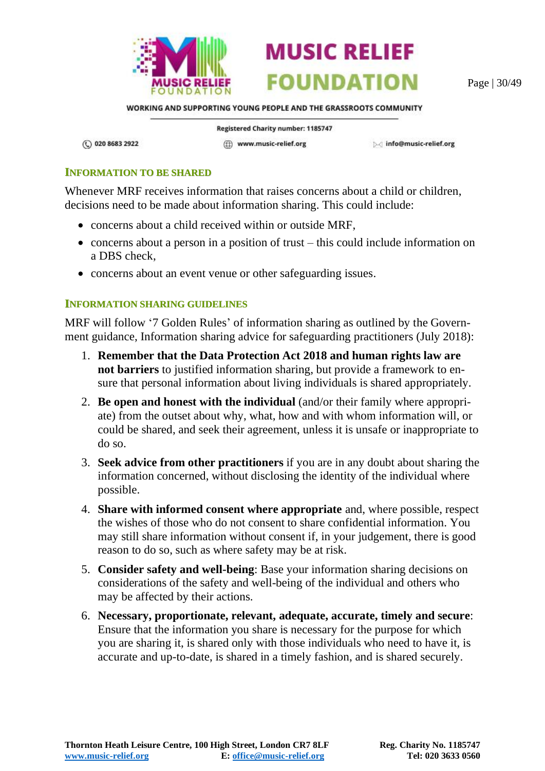



Page | 30/49

WORKING AND SUPPORTING YOUNG PEOPLE AND THE GRASSROOTS COMMUNITY

(C) 020 8683 2922

Registered Charity number: 1185747 (ff) www.music-relief.org

Minfo@music-relief.org

#### <span id="page-29-0"></span>**INFORMATION TO BE SHARED**

Whenever MRF receives information that raises concerns about a child or children, decisions need to be made about information sharing. This could include:

- concerns about a child received within or outside MRF,
- concerns about a person in a position of trust this could include information on a DBS check,
- concerns about an event venue or other safeguarding issues.

#### <span id="page-29-1"></span>**INFORMATION SHARING GUIDELINES**

MRF will follow '7 Golden Rules' of information sharing as outlined by the Government guidance, Information sharing advice for safeguarding practitioners (July 2018):

- 1. **Remember that the Data Protection Act 2018 and human rights law are not barriers** to justified information sharing, but provide a framework to ensure that personal information about living individuals is shared appropriately.
- 2. **Be open and honest with the individual** (and/or their family where appropriate) from the outset about why, what, how and with whom information will, or could be shared, and seek their agreement, unless it is unsafe or inappropriate to do so.
- 3. **Seek advice from other practitioners** if you are in any doubt about sharing the information concerned, without disclosing the identity of the individual where possible.
- 4. **Share with informed consent where appropriate** and, where possible, respect the wishes of those who do not consent to share confidential information. You may still share information without consent if, in your judgement, there is good reason to do so, such as where safety may be at risk.
- 5. **Consider safety and well-being**: Base your information sharing decisions on considerations of the safety and well-being of the individual and others who may be affected by their actions.
- 6. **Necessary, proportionate, relevant, adequate, accurate, timely and secure**: Ensure that the information you share is necessary for the purpose for which you are sharing it, is shared only with those individuals who need to have it, is accurate and up-to-date, is shared in a timely fashion, and is shared securely.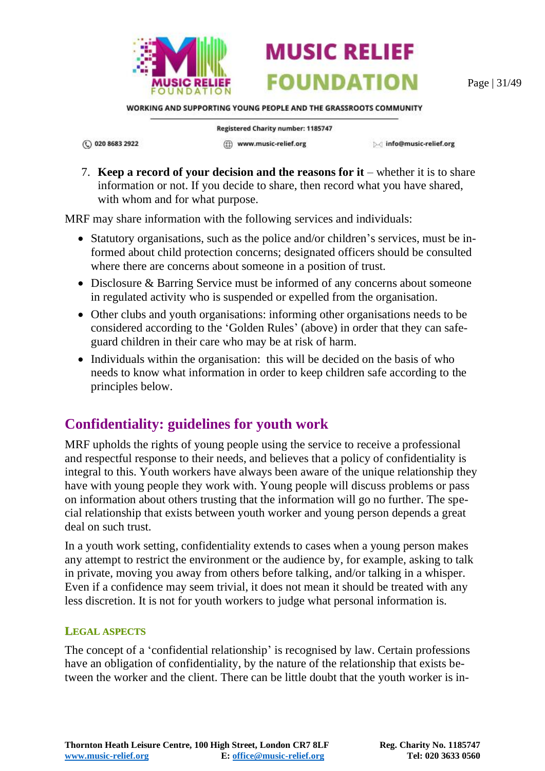

Page | 31/49

WORKING AND SUPPORTING YOUNG PEOPLE AND THE GRASSROOTS COMMUNITY

**MUSIC RELIEF** 

**FOUNDATION** 

(C) 020 8683 2922

**Registered Charity number: 1185747** (ff) www.music-relief.org

▷ info@music-relief.org

7. **Keep a record of your decision and the reasons for it** – whether it is to share information or not. If you decide to share, then record what you have shared, with whom and for what purpose.

MRF may share information with the following services and individuals:

- Statutory organisations, such as the police and/or children's services, must be informed about child protection concerns; designated officers should be consulted where there are concerns about someone in a position of trust.
- Disclosure & Barring Service must be informed of any concerns about someone in regulated activity who is suspended or expelled from the organisation.
- Other clubs and youth organisations: informing other organisations needs to be considered according to the 'Golden Rules' (above) in order that they can safeguard children in their care who may be at risk of harm.
- Individuals within the organisation: this will be decided on the basis of who needs to know what information in order to keep children safe according to the principles below.

# <span id="page-30-0"></span>**Confidentiality: guidelines for youth work**

MRF upholds the rights of young people using the service to receive a professional and respectful response to their needs, and believes that a policy of confidentiality is integral to this. Youth workers have always been aware of the unique relationship they have with young people they work with. Young people will discuss problems or pass on information about others trusting that the information will go no further. The special relationship that exists between youth worker and young person depends a great deal on such trust.

In a youth work setting, confidentiality extends to cases when a young person makes any attempt to restrict the environment or the audience by, for example, asking to talk in private, moving you away from others before talking, and/or talking in a whisper. Even if a confidence may seem trivial, it does not mean it should be treated with any less discretion. It is not for youth workers to judge what personal information is.

#### <span id="page-30-1"></span>**LEGAL ASPECTS**

The concept of a 'confidential relationship' is recognised by law. Certain professions have an obligation of confidentiality, by the nature of the relationship that exists between the worker and the client. There can be little doubt that the youth worker is in-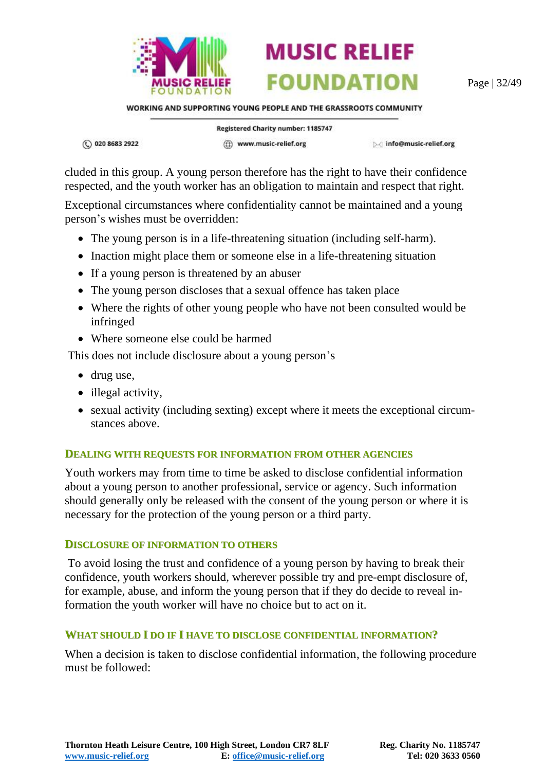

Page | 32/49

WORKING AND SUPPORTING YOUNG PEOPLE AND THE GRASSROOTS COMMUNITY

**MUSIC RELIEF** 

**FOUNDATION** 

① 020 8683 2922

Registered Charity number: 1185747 (ff) www.music-relief.org

▷ info@music-relief.org

cluded in this group. A young person therefore has the right to have their confidence respected, and the youth worker has an obligation to maintain and respect that right.

Exceptional circumstances where confidentiality cannot be maintained and a young person's wishes must be overridden:

- The young person is in a life-threatening situation (including self-harm).
- Inaction might place them or someone else in a life-threatening situation
- If a young person is threatened by an abuser
- The young person discloses that a sexual offence has taken place
- Where the rights of other young people who have not been consulted would be infringed
- Where someone else could be harmed

This does not include disclosure about a young person's

- drug use,
- illegal activity,
- sexual activity (including sexting) except where it meets the exceptional circumstances above.

#### <span id="page-31-0"></span>**DEALING WITH REQUESTS FOR INFORMATION FROM OTHER AGENCIES**

Youth workers may from time to time be asked to disclose confidential information about a young person to another professional, service or agency. Such information should generally only be released with the consent of the young person or where it is necessary for the protection of the young person or a third party.

#### <span id="page-31-1"></span>**DISCLOSURE OF INFORMATION TO OTHERS**

To avoid losing the trust and confidence of a young person by having to break their confidence, youth workers should, wherever possible try and pre-empt disclosure of, for example, abuse, and inform the young person that if they do decide to reveal information the youth worker will have no choice but to act on it.

#### <span id="page-31-2"></span>**WHAT SHOULD I DO IF I HAVE TO DISCLOSE CONFIDENTIAL INFORMATION?**

When a decision is taken to disclose confidential information, the following procedure must be followed: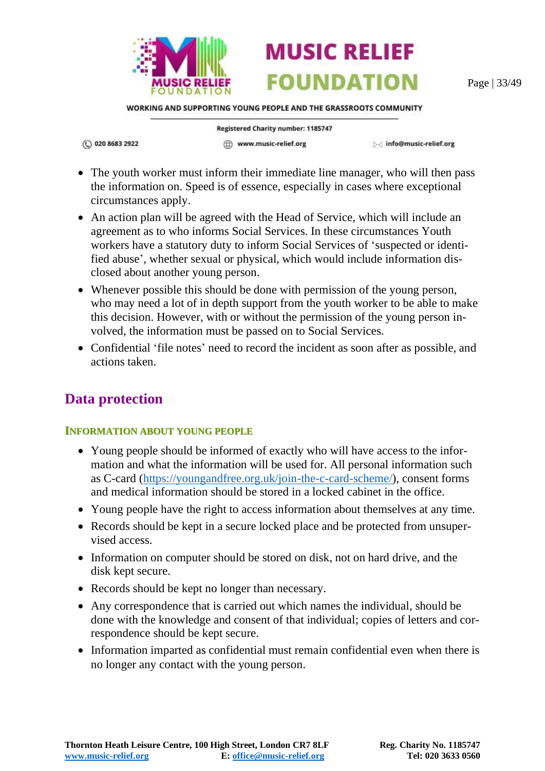

Page | 33/49

WORKING AND SUPPORTING YOUNG PEOPLE AND THE GRASSROOTS COMMUNITY

**MUSIC RELIEF** 

**FOUNDATION** 

(C) 020 8683 2922

Registered Charity number: 1185747 (ff) www.music-relief.org

▷ info@music-relief.org

- The youth worker must inform their immediate line manager, who will then pass the information on. Speed is of essence, especially in cases where exceptional circumstances apply.
- An action plan will be agreed with the Head of Service, which will include an agreement as to who informs Social Services. In these circumstances Youth workers have a statutory duty to inform Social Services of 'suspected or identified abuse', whether sexual or physical, which would include information disclosed about another young person.
- Whenever possible this should be done with permission of the young person, who may need a lot of in depth support from the youth worker to be able to make this decision. However, with or without the permission of the young person involved, the information must be passed on to Social Services.
- Confidential 'file notes' need to record the incident as soon after as possible, and actions taken.

### <span id="page-32-0"></span>**Data protection**

#### <span id="page-32-1"></span>**INFORMATION ABOUT YOUNG PEOPLE**

- Young people should be informed of exactly who will have access to the information and what the information will be used for. All personal information such as C-card [\(https://youngandfree.org.uk/join-the-c-card-scheme/\)](https://youngandfree.org.uk/join-the-c-card-scheme/), consent forms and medical information should be stored in a locked cabinet in the office.
- Young people have the right to access information about themselves at any time.
- Records should be kept in a secure locked place and be protected from unsupervised access.
- Information on computer should be stored on disk, not on hard drive, and the disk kept secure.
- Records should be kept no longer than necessary.
- Any correspondence that is carried out which names the individual, should be done with the knowledge and consent of that individual; copies of letters and correspondence should be kept secure.
- Information imparted as confidential must remain confidential even when there is no longer any contact with the young person.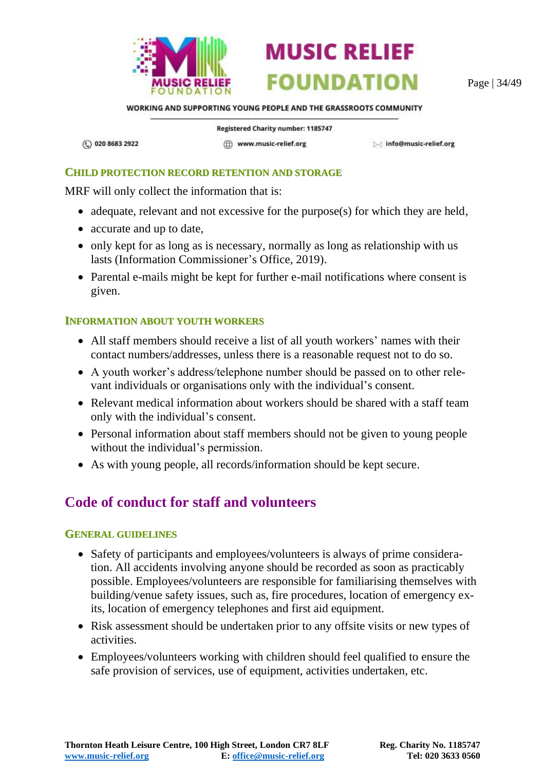

Page | 34/49

WORKING AND SUPPORTING YOUNG PEOPLE AND THE GRASSROOTS COMMUNITY

**MUSIC RELIEF** 

**FOUNDATION** 

(C) 020 8683 2922

**Registered Charity number: 1185747** (ff) www.music-relief.org

Minfo@music-relief.org

#### <span id="page-33-0"></span>**CHILD PROTECTION RECORD RETENTION AND STORAGE**

MRF will only collect the information that is:

- adequate, relevant and not excessive for the purpose(s) for which they are held,
- accurate and up to date,
- only kept for as long as is necessary, normally as long as relationship with us lasts (Information Commissioner's Office, 2019).
- Parental e-mails might be kept for further e-mail notifications where consent is given.

#### <span id="page-33-1"></span>**INFORMATION ABOUT YOUTH WORKERS**

- All staff members should receive a list of all youth workers' names with their contact numbers/addresses, unless there is a reasonable request not to do so.
- A youth worker's address/telephone number should be passed on to other relevant individuals or organisations only with the individual's consent.
- Relevant medical information about workers should be shared with a staff team only with the individual's consent.
- Personal information about staff members should not be given to young people without the individual's permission.
- As with young people, all records/information should be kept secure.

# <span id="page-33-2"></span>**Code of conduct for staff and volunteers**

#### <span id="page-33-3"></span>**GENERAL GUIDELINES**

- Safety of participants and employees/volunteers is always of prime consideration. All accidents involving anyone should be recorded as soon as practicably possible. Employees/volunteers are responsible for familiarising themselves with building/venue safety issues, such as, fire procedures, location of emergency exits, location of emergency telephones and first aid equipment.
- Risk assessment should be undertaken prior to any offsite visits or new types of activities.
- Employees/volunteers working with children should feel qualified to ensure the safe provision of services, use of equipment, activities undertaken, etc.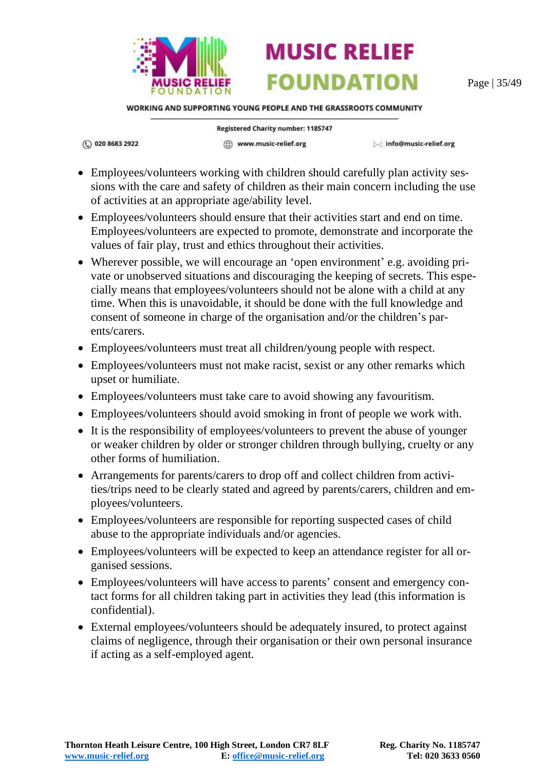

Page | 35/49

WORKING AND SUPPORTING YOUNG PEOPLE AND THE GRASSROOTS COMMUNITY

(C) 020 8683 2922

**Registered Charity number: 1185747** (ff) www.music-relief.org

▷ info@music-relief.org

- Employees/volunteers working with children should carefully plan activity sessions with the care and safety of children as their main concern including the use of activities at an appropriate age/ability level.
- Employees/volunteers should ensure that their activities start and end on time. Employees/volunteers are expected to promote, demonstrate and incorporate the values of fair play, trust and ethics throughout their activities.
- Wherever possible, we will encourage an 'open environment' e.g. avoiding private or unobserved situations and discouraging the keeping of secrets. This especially means that employees/volunteers should not be alone with a child at any time. When this is unavoidable, it should be done with the full knowledge and consent of someone in charge of the organisation and/or the children's parents/carers.
- Employees/volunteers must treat all children/young people with respect.
- Employees/volunteers must not make racist, sexist or any other remarks which upset or humiliate.
- Employees/volunteers must take care to avoid showing any favouritism.
- Employees/volunteers should avoid smoking in front of people we work with.
- It is the responsibility of employees/volunteers to prevent the abuse of younger or weaker children by older or stronger children through bullying, cruelty or any other forms of humiliation.
- Arrangements for parents/carers to drop off and collect children from activities/trips need to be clearly stated and agreed by parents/carers, children and employees/volunteers.
- Employees/volunteers are responsible for reporting suspected cases of child abuse to the appropriate individuals and/or agencies.
- Employees/volunteers will be expected to keep an attendance register for all organised sessions.
- Employees/volunteers will have access to parents' consent and emergency contact forms for all children taking part in activities they lead (this information is confidential).
- External employees/volunteers should be adequately insured, to protect against claims of negligence, through their organisation or their own personal insurance if acting as a self-employed agent.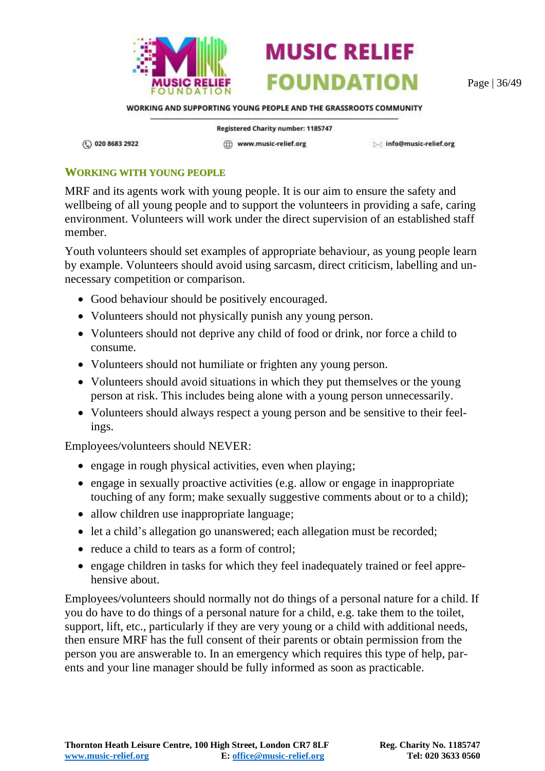

Page | 36/49

WORKING AND SUPPORTING YOUNG PEOPLE AND THE GRASSROOTS COMMUNITY

(C) 020 8683 2922

Registered Charity number: 1185747 ((i) www.music-relief.org

▷ info@music-relief.org

#### <span id="page-35-0"></span>**WORKING WITH YOUNG PEOPLE**

MRF and its agents work with young people. It is our aim to ensure the safety and wellbeing of all young people and to support the volunteers in providing a safe, caring environment. Volunteers will work under the direct supervision of an established staff member.

Youth volunteers should set examples of appropriate behaviour, as young people learn by example. Volunteers should avoid using sarcasm, direct criticism, labelling and unnecessary competition or comparison.

- Good behaviour should be positively encouraged.
- Volunteers should not physically punish any young person.
- Volunteers should not deprive any child of food or drink, nor force a child to consume.
- Volunteers should not humiliate or frighten any young person.
- Volunteers should avoid situations in which they put themselves or the young person at risk. This includes being alone with a young person unnecessarily.
- Volunteers should always respect a young person and be sensitive to their feelings.

Employees/volunteers should NEVER:

- engage in rough physical activities, even when playing;
- engage in sexually proactive activities (e.g. allow or engage in inappropriate touching of any form; make sexually suggestive comments about or to a child);
- allow children use inappropriate language;
- let a child's allegation go unanswered; each allegation must be recorded;
- reduce a child to tears as a form of control;
- engage children in tasks for which they feel inadequately trained or feel apprehensive about.

Employees/volunteers should normally not do things of a personal nature for a child. If you do have to do things of a personal nature for a child, e.g. take them to the toilet, support, lift, etc., particularly if they are very young or a child with additional needs, then ensure MRF has the full consent of their parents or obtain permission from the person you are answerable to. In an emergency which requires this type of help, parents and your line manager should be fully informed as soon as practicable.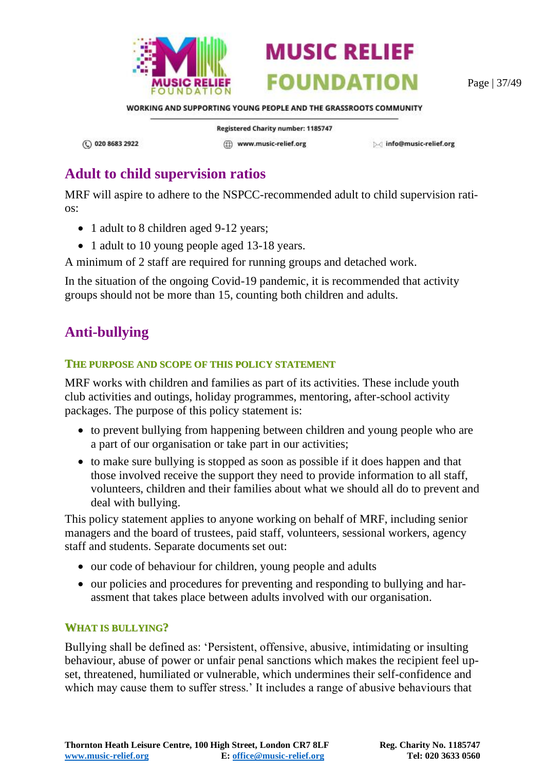

Page | 37/49

WORKING AND SUPPORTING YOUNG PEOPLE AND THE GRASSROOTS COMMUNITY

① 020 8683 2922

Registered Charity number: 1185747 (ff) www.music-relief.org

▷ info@music-relief.org

# <span id="page-36-0"></span>**Adult to child supervision ratios**

MRF will aspire to adhere to the NSPCC-recommended adult to child supervision ratios:

- 1 adult to 8 children aged 9-12 years;
- 1 adult to 10 young people aged 13-18 years.
- A minimum of 2 staff are required for running groups and detached work.

In the situation of the ongoing Covid-19 pandemic, it is recommended that activity groups should not be more than 15, counting both children and adults.

# <span id="page-36-1"></span>**Anti-bullying**

#### <span id="page-36-2"></span>**THE PURPOSE AND SCOPE OF THIS POLICY STATEMENT**

MRF works with children and families as part of its activities. These include youth club activities and outings, holiday programmes, mentoring, after-school activity packages. The purpose of this policy statement is:

- to prevent bullying from happening between children and young people who are a part of our organisation or take part in our activities;
- to make sure bullying is stopped as soon as possible if it does happen and that those involved receive the support they need to provide information to all staff, volunteers, children and their families about what we should all do to prevent and deal with bullying.

This policy statement applies to anyone working on behalf of MRF, including senior managers and the board of trustees, paid staff, volunteers, sessional workers, agency staff and students. Separate documents set out:

- our code of behaviour for children, young people and adults
- our policies and procedures for preventing and responding to bullying and harassment that takes place between adults involved with our organisation.

#### <span id="page-36-3"></span>**WHAT IS BULLYING?**

Bullying shall be defined as: 'Persistent, offensive, abusive, intimidating or insulting behaviour, abuse of power or unfair penal sanctions which makes the recipient feel upset, threatened, humiliated or vulnerable, which undermines their self-confidence and which may cause them to suffer stress.' It includes a range of abusive behaviours that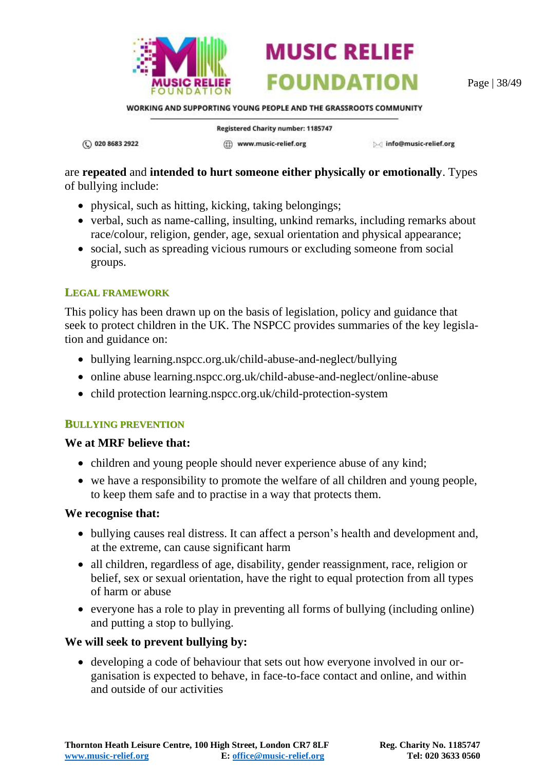

Page | 38/49

WORKING AND SUPPORTING YOUNG PEOPLE AND THE GRASSROOTS COMMUNITY

**MUSIC RELIEF** 

**FOUNDATION** 

(C) 020 8683 2922

**Registered Charity number: 1185747** (ff) www.music-relief.org

▷ info@music-relief.org

are **repeated** and **intended to hurt someone either physically or emotionally**. Types of bullying include:

- physical, such as hitting, kicking, taking belongings;
- verbal, such as name-calling, insulting, unkind remarks, including remarks about race/colour, religion, gender, age, sexual orientation and physical appearance;
- social, such as spreading vicious rumours or excluding someone from social groups.

#### <span id="page-37-0"></span>**LEGAL FRAMEWORK**

This policy has been drawn up on the basis of legislation, policy and guidance that seek to protect children in the UK. The NSPCC provides summaries of the key legislation and guidance on:

- bullying learning.nspcc.org.uk/child-abuse-and-neglect/bullying
- online abuse learning.nspcc.org.uk/child-abuse-and-neglect/online-abuse
- child protection learning.nspcc.org.uk/child-protection-system

#### <span id="page-37-1"></span>**BULLYING PREVENTION**

#### **We at MRF believe that:**

- children and young people should never experience abuse of any kind;
- we have a responsibility to promote the welfare of all children and young people, to keep them safe and to practise in a way that protects them.

#### **We recognise that:**

- bullying causes real distress. It can affect a person's health and development and, at the extreme, can cause significant harm
- all children, regardless of age, disability, gender reassignment, race, religion or belief, sex or sexual orientation, have the right to equal protection from all types of harm or abuse
- everyone has a role to play in preventing all forms of bullying (including online) and putting a stop to bullying.

#### **We will seek to prevent bullying by:**

• developing a code of behaviour that sets out how everyone involved in our organisation is expected to behave, in face-to-face contact and online, and within and outside of our activities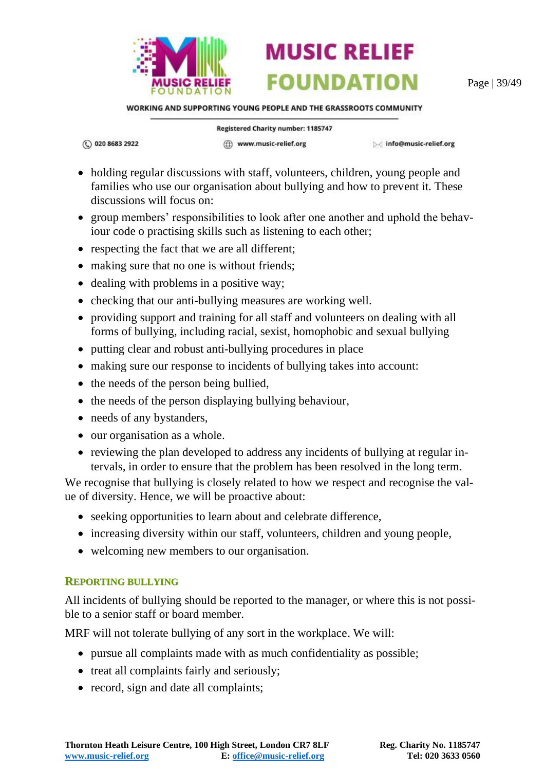

Page | 39/49

WORKING AND SUPPORTING YOUNG PEOPLE AND THE GRASSROOTS COMMUNITY

(C) 020 8683 2922

Registered Charity number: 1185747

(ff) www.music-relief.org

▷ info@music-relief.org

**MUSIC RELIEF** 

**FOUNDATION** 

- holding regular discussions with staff, volunteers, children, young people and families who use our organisation about bullying and how to prevent it. These discussions will focus on:
- group members' responsibilities to look after one another and uphold the behaviour code o practising skills such as listening to each other;
- respecting the fact that we are all different;
- making sure that no one is without friends;
- dealing with problems in a positive way;
- checking that our anti-bullying measures are working well.
- providing support and training for all staff and volunteers on dealing with all forms of bullying, including racial, sexist, homophobic and sexual bullying
- putting clear and robust anti-bullying procedures in place
- making sure our response to incidents of bullying takes into account:
- the needs of the person being bullied,
- the needs of the person displaying bullying behaviour,
- needs of any bystanders,
- our organisation as a whole.
- reviewing the plan developed to address any incidents of bullying at regular intervals, in order to ensure that the problem has been resolved in the long term.

We recognise that bullying is closely related to how we respect and recognise the value of diversity. Hence, we will be proactive about:

- seeking opportunities to learn about and celebrate difference,
- increasing diversity within our staff, volunteers, children and young people,
- welcoming new members to our organisation.

#### <span id="page-38-0"></span>**REPORTING BULLYING**

All incidents of bullying should be reported to the manager, or where this is not possible to a senior staff or board member.

MRF will not tolerate bullying of any sort in the workplace. We will:

- pursue all complaints made with as much confidentiality as possible;
- treat all complaints fairly and seriously;
- record, sign and date all complaints;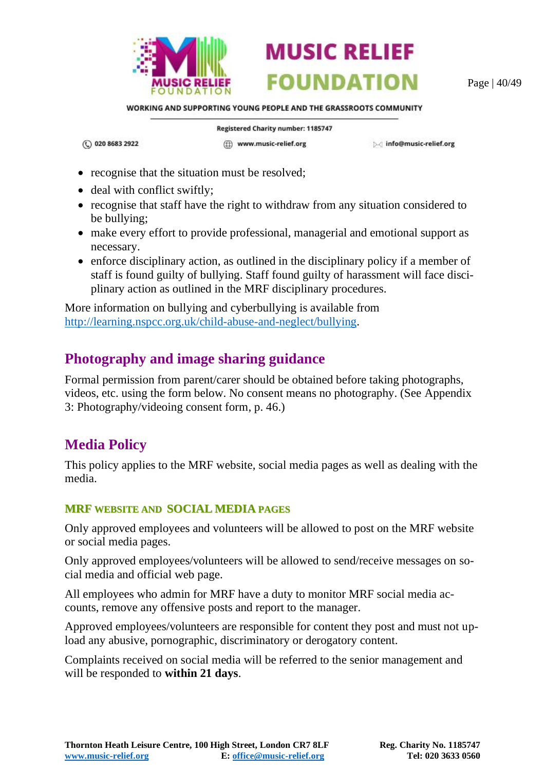

Page | 40/49

WORKING AND SUPPORTING YOUNG PEOPLE AND THE GRASSROOTS COMMUNITY

**MUSIC RELIEF** 

**FOUNDATION** 

(C) 020 8683 2922

Registered Charity number: 1185747 (ff) www.music-relief.org

Minfo@music-relief.org

- recognise that the situation must be resolved;
- deal with conflict swiftly;
- recognise that staff have the right to withdraw from any situation considered to be bullying;
- make every effort to provide professional, managerial and emotional support as necessary.
- enforce disciplinary action, as outlined in the disciplinary policy if a member of staff is found guilty of bullying. Staff found guilty of harassment will face disciplinary action as outlined in the MRF disciplinary procedures.

More information on bullying and cyberbullying is available from [http://learning.nspcc.org.uk/child-abuse-and-neglect/bullying.](http://learning.nspcc.org.uk/child-abuse-and-neglect/bullying)

### <span id="page-39-0"></span>**Photography and image sharing guidance**

Formal permission from parent/carer should be obtained before taking photographs, videos, etc. using the form below. No consent means no photography. (See [Appendix](#page-45-0)  [3: Photography/videoing consent form,](#page-45-0) p. [46.](#page-45-0))

# <span id="page-39-1"></span>**Media Policy**

This policy applies to the MRF website, social media pages as well as dealing with the media.

#### <span id="page-39-2"></span>**MRF WEBSITE AND SOCIAL MEDIA PAGES**

Only approved employees and volunteers will be allowed to post on the MRF website or social media pages.

Only approved employees/volunteers will be allowed to send/receive messages on social media and official web page.

All employees who admin for MRF have a duty to monitor MRF social media accounts, remove any offensive posts and report to the manager.

Approved employees/volunteers are responsible for content they post and must not upload any abusive, pornographic, discriminatory or derogatory content.

Complaints received on social media will be referred to the senior management and will be responded to **within 21 days**.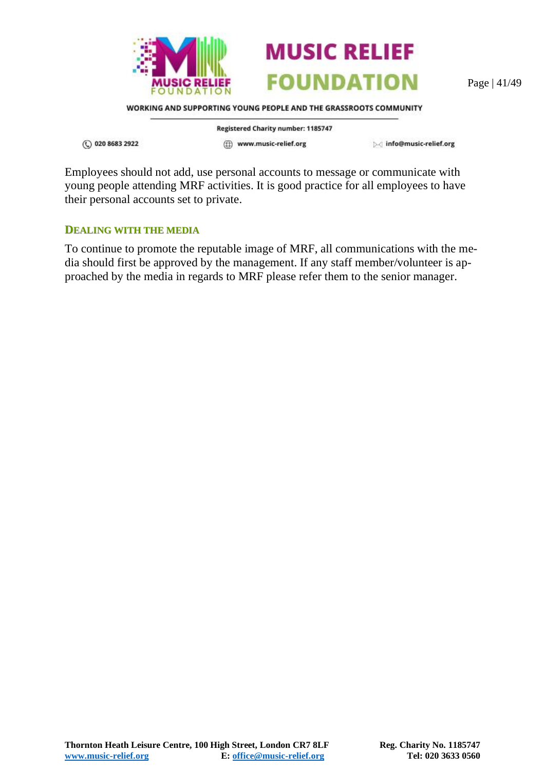



Page | 41/49

WORKING AND SUPPORTING YOUNG PEOPLE AND THE GRASSROOTS COMMUNITY

(C) 020 8683 2922

Registered Charity number: 1185747 (ff) www.music-relief.org

▷ info@music-relief.org

Employees should not add, use personal accounts to message or communicate with young people attending MRF activities. It is good practice for all employees to have their personal accounts set to private.

#### <span id="page-40-0"></span>**DEALING WITH THE MEDIA**

To continue to promote the reputable image of MRF, all communications with the media should first be approved by the management. If any staff member/volunteer is approached by the media in regards to MRF please refer them to the senior manager.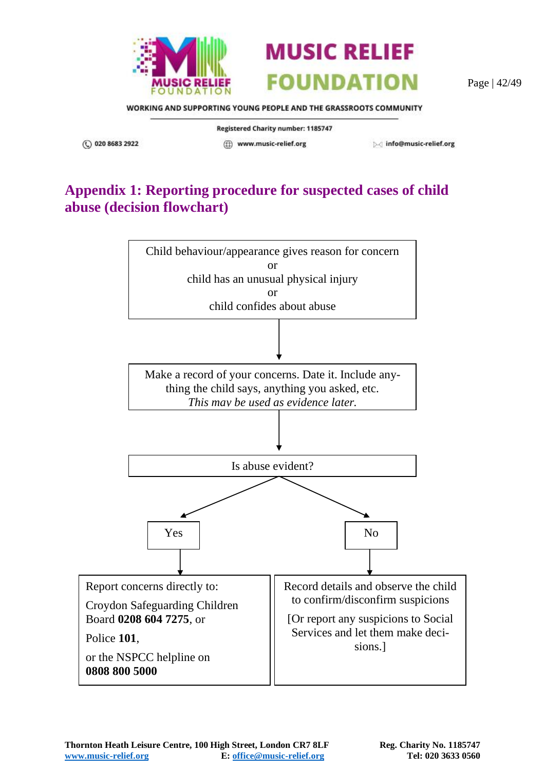



Page | 42/49

WORKING AND SUPPORTING YOUNG PEOPLE AND THE GRASSROOTS COMMUNITY

Registered Charity number: 1185747

(C) 020 8683 2922

(ff) www.music-relief.org

Minfo@music-relief.org

# <span id="page-41-0"></span>**Appendix 1: Reporting procedure for suspected cases of child abuse (decision flowchart)**

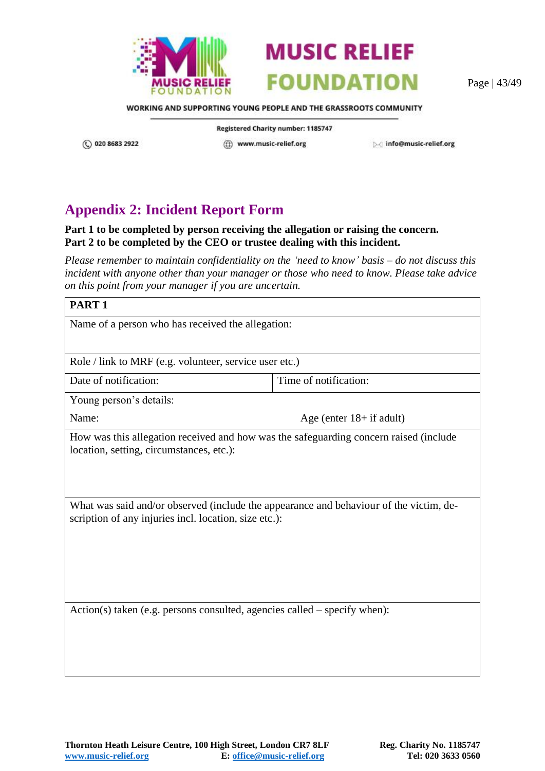



Page | 43/49

WORKING AND SUPPORTING YOUNG PEOPLE AND THE GRASSROOTS COMMUNITY

(C) 020 8683 2922

Registered Charity number: 1185747 (ff) www.music-relief.org

Minfo@music-relief.org

# <span id="page-42-0"></span>**Appendix 2: Incident Report Form**

#### **Part 1 to be completed by person receiving the allegation or raising the concern. Part 2 to be completed by the CEO or trustee dealing with this incident.**

*Please remember to maintain confidentiality on the 'need to know' basis – do not discuss this incident with anyone other than your manager or those who need to know. Please take advice on this point from your manager if you are uncertain.* 

| PART <sub>1</sub>                                                                                                                               |                            |  |
|-------------------------------------------------------------------------------------------------------------------------------------------------|----------------------------|--|
| Name of a person who has received the allegation:                                                                                               |                            |  |
|                                                                                                                                                 |                            |  |
| Role / link to MRF (e.g. volunteer, service user etc.)                                                                                          |                            |  |
| Date of notification:                                                                                                                           | Time of notification:      |  |
| Young person's details:                                                                                                                         |                            |  |
| Name:                                                                                                                                           | Age (enter $18+$ if adult) |  |
| How was this allegation received and how was the safeguarding concern raised (include                                                           |                            |  |
| location, setting, circumstances, etc.):                                                                                                        |                            |  |
|                                                                                                                                                 |                            |  |
|                                                                                                                                                 |                            |  |
| What was said and/or observed (include the appearance and behaviour of the victim, de-<br>scription of any injuries incl. location, size etc.): |                            |  |
|                                                                                                                                                 |                            |  |
|                                                                                                                                                 |                            |  |
|                                                                                                                                                 |                            |  |
|                                                                                                                                                 |                            |  |
| $Action(s)$ taken (e.g. persons consulted, agencies called – specify when):                                                                     |                            |  |
|                                                                                                                                                 |                            |  |
|                                                                                                                                                 |                            |  |
|                                                                                                                                                 |                            |  |
|                                                                                                                                                 |                            |  |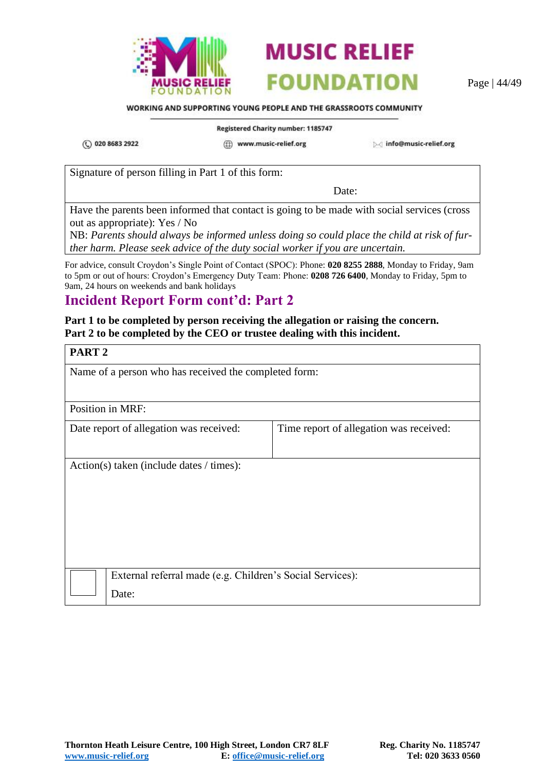



Page | 44/49

#### WORKING AND SUPPORTING YOUNG PEOPLE AND THE GRASSROOTS COMMUNITY

**Registered Charity number: 1185747** 

(C) 020 8683 2922

(ff) www.music-relief.org

▷ info@music-relief.org

Signature of person filling in Part 1 of this form:

Date:

Have the parents been informed that contact is going to be made with social services (cross out as appropriate): Yes / No

NB: *Parents should always be informed unless doing so could place the child at risk of further harm. Please seek advice of the duty social worker if you are uncertain.*

For advice, consult Croydon's Single Point of Contact (SPOC): Phone: **020 8255 2888**, Monday to Friday, 9am to 5pm or out of hours: Croydon's Emergency Duty Team: Phone: **0208 726 6400**, Monday to Friday, 5pm to 9am, 24 hours on weekends and bank holidays

### **Incident Report Form cont'd: Part 2**

#### **Part 1 to be completed by person receiving the allegation or raising the concern. Part 2 to be completed by the CEO or trustee dealing with this incident.**

| PART <sub>2</sub>                                     |                                                           |                                         |
|-------------------------------------------------------|-----------------------------------------------------------|-----------------------------------------|
| Name of a person who has received the completed form: |                                                           |                                         |
|                                                       |                                                           |                                         |
| Position in MRF:                                      |                                                           |                                         |
|                                                       | Date report of allegation was received:                   | Time report of allegation was received: |
|                                                       |                                                           |                                         |
| Action(s) taken (include dates $/$ times):            |                                                           |                                         |
|                                                       |                                                           |                                         |
|                                                       |                                                           |                                         |
|                                                       |                                                           |                                         |
|                                                       |                                                           |                                         |
|                                                       |                                                           |                                         |
|                                                       | External referral made (e.g. Children's Social Services): |                                         |
|                                                       | Date:                                                     |                                         |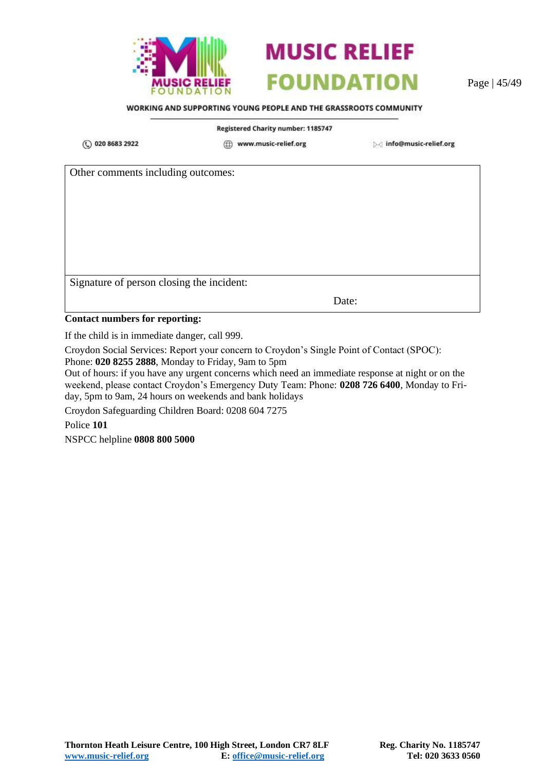



Page | 45/49

#### WORKING AND SUPPORTING YOUNG PEOPLE AND THE GRASSROOTS COMMUNITY

#### Registered Charity number: 1185747

(C) 020 8683 2922

(ff) www.music-relief.org

▷ info@music-relief.org

Other comments including outcomes:

Signature of person closing the incident:

Date:

#### **Contact numbers for reporting:**

If the child is in immediate danger, call 999.

Croydon Social Services: Report your concern to Croydon's Single Point of Contact (SPOC):

Phone: **020 8255 2888**, Monday to Friday, 9am to 5pm

Out of hours: if you have any urgent concerns which need an immediate response at night or on the weekend, please contact Croydon's Emergency Duty Team: Phone: **0208 726 6400**, Monday to Friday, 5pm to 9am, 24 hours on weekends and bank holidays

Croydon Safeguarding Children Board: 0208 604 7275

Police **101**

NSPCC helpline **0808 800 5000**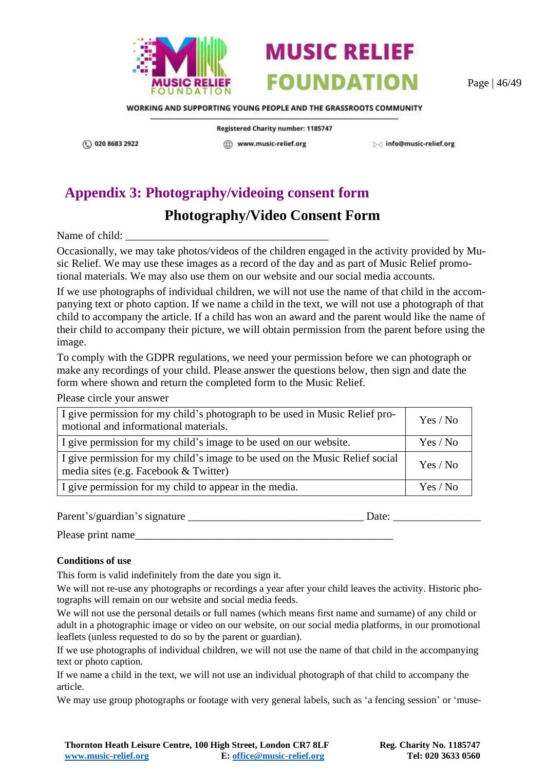



Page | 46/49

WORKING AND SUPPORTING YOUNG PEOPLE AND THE GRASSROOTS COMMUNITY

Registered Charity number: 1185747 (iii) www.music-relief.org

▷ info@music-relief.org

# <span id="page-45-0"></span>**Appendix 3: Photography/videoing consent form**

# **Photography/Video Consent Form**

Name of child:

(C) 020 8683 2922

Occasionally, we may take photos/videos of the children engaged in the activity provided by Music Relief. We may use these images as a record of the day and as part of Music Relief promotional materials. We may also use them on our website and our social media accounts.

If we use photographs of individual children, we will not use the name of that child in the accompanying text or photo caption. If we name a child in the text, we will not use a photograph of that child to accompany the article. If a child has won an award and the parent would like the name of their child to accompany their picture, we will obtain permission from the parent before using the image.

To comply with the GDPR regulations, we need your permission before we can photograph or make any recordings of your child. Please answer the questions below, then sign and date the form where shown and return the completed form to the Music Relief.

Please circle your answer

| I give permission for my child's photograph to be used in Music Relief pro-<br>motional and informational materials.  | Yes / No |
|-----------------------------------------------------------------------------------------------------------------------|----------|
| I give permission for my child's image to be used on our website.                                                     | Yes / No |
| I give permission for my child's image to be used on the Music Relief social<br>media sites (e.g. Facebook & Twitter) | Yes / No |
| I give permission for my child to appear in the media.                                                                | Yes / No |

Parent's/guardian's signature \_\_\_\_\_\_\_\_\_\_\_\_\_\_\_\_\_\_\_\_\_\_\_\_\_\_\_\_\_\_\_\_ Date: \_\_\_\_\_\_\_\_\_\_\_\_\_\_\_\_

Please print name\_\_\_\_\_\_\_\_\_\_\_\_\_\_\_\_\_\_\_\_\_\_\_\_\_\_\_\_\_\_\_\_\_\_\_\_\_\_\_\_\_\_\_\_\_\_\_

#### **Conditions of use**

This form is valid indefinitely from the date you sign it.

We will not re-use any photographs or recordings a year after your child leaves the activity. Historic photographs will remain on our website and social media feeds.

We will not use the personal details or full names (which means first name and surname) of any child or adult in a photographic image or video on our website, on our social media platforms, in our promotional leaflets (unless requested to do so by the parent or guardian).

If we use photographs of individual children, we will not use the name of that child in the accompanying text or photo caption.

If we name a child in the text, we will not use an individual photograph of that child to accompany the article.

We may use group photographs or footage with very general labels, such as 'a fencing session' or 'muse-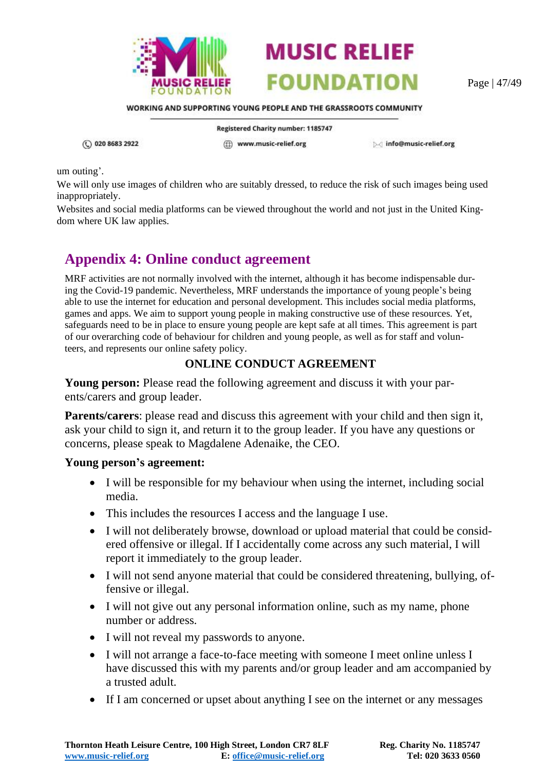



Page | 47/49

WORKING AND SUPPORTING YOUNG PEOPLE AND THE GRASSROOTS COMMUNITY

Registered Charity number: 1185747

(C) 020 8683 2922

(ff) www.music-relief.org

Minfo@music-relief.org

um outing'.

We will only use images of children who are suitably dressed, to reduce the risk of such images being used inappropriately.

Websites and social media platforms can be viewed throughout the world and not just in the United Kingdom where UK law applies.

# <span id="page-46-0"></span>**Appendix 4: Online conduct agreement**

MRF activities are not normally involved with the internet, although it has become indispensable during the Covid-19 pandemic. Nevertheless, MRF understands the importance of young people's being able to use the internet for education and personal development. This includes social media platforms, games and apps. We aim to support young people in making constructive use of these resources. Yet, safeguards need to be in place to ensure young people are kept safe at all times. This agreement is part of our overarching code of behaviour for children and young people, as well as for staff and volunteers, and represents our online safety policy.

#### **ONLINE CONDUCT AGREEMENT**

**Young person:** Please read the following agreement and discuss it with your parents/carers and group leader.

**Parents/carers**: please read and discuss this agreement with your child and then sign it, ask your child to sign it, and return it to the group leader. If you have any questions or concerns, please speak to Magdalene Adenaike, the CEO.

#### **Young person's agreement:**

- I will be responsible for my behaviour when using the internet, including social media.
- This includes the resources I access and the language I use.
- I will not deliberately browse, download or upload material that could be considered offensive or illegal. If I accidentally come across any such material, I will report it immediately to the group leader.
- I will not send anyone material that could be considered threatening, bullying, offensive or illegal.
- I will not give out any personal information online, such as my name, phone number or address.
- I will not reveal my passwords to anyone.
- I will not arrange a face-to-face meeting with someone I meet online unless I have discussed this with my parents and/or group leader and am accompanied by a trusted adult.
- If I am concerned or upset about anything I see on the internet or any messages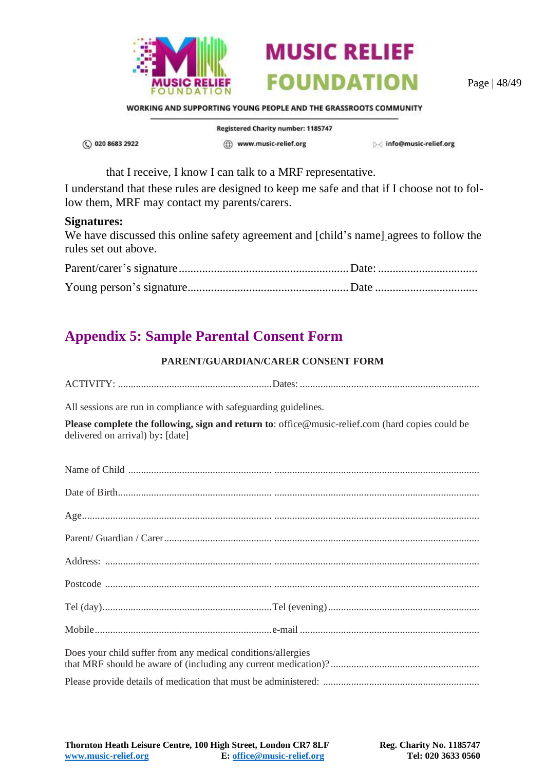

Page | 48/49

WORKING AND SUPPORTING YOUNG PEOPLE AND THE GRASSROOTS COMMUNITY

(C) 020 8683 2922

Registered Charity number: 1185747 (ff) www.music-relief.org

Minfo@music-relief.org

that I receive, I know I can talk to a MRF representative.

I understand that these rules are designed to keep me safe and that if I choose not to follow them, MRF may contact my parents/carers.

#### **Signatures:**

We have discussed this online safety agreement and [child's name] agrees to follow the rules set out above.

# <span id="page-47-0"></span>**Appendix 5: Sample Parental Consent Form**

#### **PARENT/GUARDIAN/CARER CONSENT FORM**

| All sessions are run in compliance with safeguarding guidelines. |                                                                                                  |  |
|------------------------------------------------------------------|--------------------------------------------------------------------------------------------------|--|
| delivered on arrival) by: [date]                                 | Please complete the following, sign and return to: office@music-relief.com (hard copies could be |  |
|                                                                  |                                                                                                  |  |
|                                                                  |                                                                                                  |  |
|                                                                  |                                                                                                  |  |
|                                                                  |                                                                                                  |  |
|                                                                  |                                                                                                  |  |
|                                                                  |                                                                                                  |  |
|                                                                  |                                                                                                  |  |
|                                                                  |                                                                                                  |  |
| Does your child suffer from any medical conditions/allergies     |                                                                                                  |  |
|                                                                  |                                                                                                  |  |

**Thornton Heath Leisure Centre, 100 High Street, London CR7 8LF Reg. Charity No. 1185747 www.music-relief.org E: office@music-relief.org Tel: 020 3633 0560**